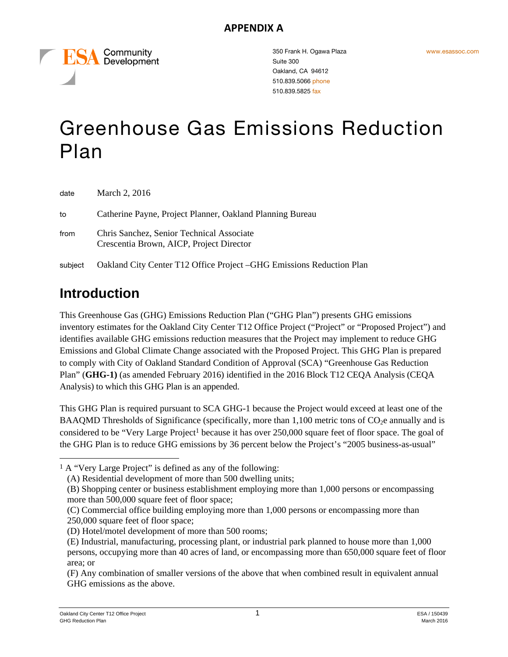Community Development

350 Frank H. Ogawa Plaza Suite 300 Oakland, CA 94612 510.839.5066 phone 510.839.5825 fax

# Greenhouse Gas Emissions Reduction Plan

| date    | March 2, 2016                                                                         |
|---------|---------------------------------------------------------------------------------------|
| to      | Catherine Payne, Project Planner, Oakland Planning Bureau                             |
| from    | Chris Sanchez, Senior Technical Associate<br>Crescentia Brown, AICP, Project Director |
| subject | Oakland City Center T12 Office Project - GHG Emissions Reduction Plan                 |

# **Introduction**

l

This Greenhouse Gas (GHG) Emissions Reduction Plan ("GHG Plan") presents GHG emissions inventory estimates for the Oakland City Center T12 Office Project ("Project" or "Proposed Project") and identifies available GHG emissions reduction measures that the Project may implement to reduce GHG Emissions and Global Climate Change associated with the Proposed Project. This GHG Plan is prepared to comply with City of Oakland Standard Condition of Approval (SCA) "Greenhouse Gas Reduction Plan" (**GHG-1)** (as amended February 2016) identified in the 2016 Block T12 CEQA Analysis (CEQA Analysis) to which this GHG Plan is an appended.

This GHG Plan is required pursuant to SCA GHG-1 because the Project would exceed at least one of the BAAQMD Thresholds of Significance (specifically, more than 1,100 metric tons of  $CO<sub>2</sub>e$  annually and is considered to be "Very Large Project<sup>1</sup> because it has over 250,000 square feet of floor space. The goal of the GHG Plan is to reduce GHG emissions by 36 percent below the Project's "2005 business-as-usual"

<sup>&</sup>lt;sup>1</sup> A "Very Large Project" is defined as any of the following:

<sup>(</sup>A) Residential development of more than 500 dwelling units;

<sup>(</sup>B) Shopping center or business establishment employing more than 1,000 persons or encompassing more than 500,000 square feet of floor space;

<sup>(</sup>C) Commercial office building employing more than 1,000 persons or encompassing more than 250,000 square feet of floor space;

<sup>(</sup>D) Hotel/motel development of more than 500 rooms;

<sup>(</sup>E) Industrial, manufacturing, processing plant, or industrial park planned to house more than 1,000 persons, occupying more than 40 acres of land, or encompassing more than 650,000 square feet of floor area; or

<sup>(</sup>F) Any combination of smaller versions of the above that when combined result in equivalent annual GHG emissions as the above.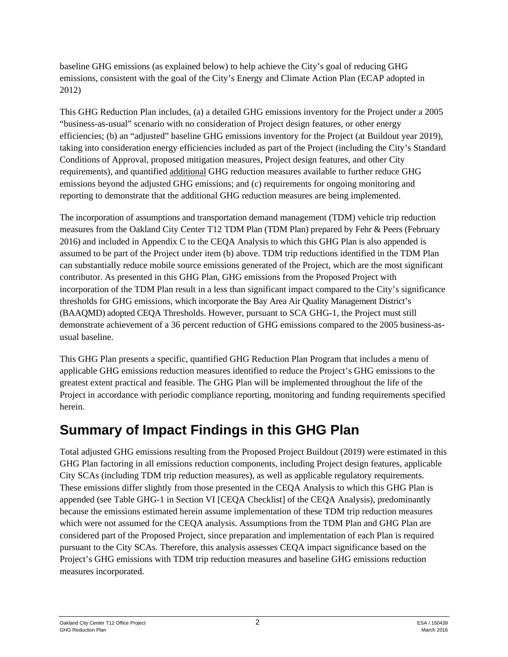baseline GHG emissions (as explained below) to help achieve the City's goal of reducing GHG emissions, consistent with the goal of the City's Energy and Climate Action Plan (ECAP adopted in 2012)

This GHG Reduction Plan includes, (a) a detailed GHG emissions inventory for the Project under a 2005 "business-as-usual" scenario with no consideration of Project design features, or other energy efficiencies; (b) an "adjusted" baseline GHG emissions inventory for the Project (at Buildout year 2019), taking into consideration energy efficiencies included as part of the Project (including the City's Standard Conditions of Approval, proposed mitigation measures, Project design features, and other City requirements), and quantified additional GHG reduction measures available to further reduce GHG emissions beyond the adjusted GHG emissions; and (c) requirements for ongoing monitoring and reporting to demonstrate that the additional GHG reduction measures are being implemented.

The incorporation of assumptions and transportation demand management (TDM) vehicle trip reduction measures from the Oakland City Center T12 TDM Plan (TDM Plan) prepared by Fehr & Peers (February 2016) and included in Appendix C to the CEQA Analysis to which this GHG Plan is also appended is assumed to be part of the Project under item (b) above. TDM trip reductions identified in the TDM Plan can substantially reduce mobile source emissions generated of the Project, which are the most significant contributor. As presented in this GHG Plan, GHG emissions from the Proposed Project with incorporation of the TDM Plan result in a less than significant impact compared to the City's significance thresholds for GHG emissions, which incorporate the Bay Area Air Quality Management District's (BAAQMD) adopted CEQA Thresholds. However, pursuant to SCA GHG-1, the Project must still demonstrate achievement of a 36 percent reduction of GHG emissions compared to the 2005 business-asusual baseline.

This GHG Plan presents a specific, quantified GHG Reduction Plan Program that includes a menu of applicable GHG emissions reduction measures identified to reduce the Project's GHG emissions to the greatest extent practical and feasible. The GHG Plan will be implemented throughout the life of the Project in accordance with periodic compliance reporting, monitoring and funding requirements specified herein.

# **Summary of Impact Findings in this GHG Plan**

Total adjusted GHG emissions resulting from the Proposed Project Buildout (2019) were estimated in this GHG Plan factoring in all emissions reduction components, including Project design features, applicable City SCAs (including TDM trip reduction measures), as well as applicable regulatory requirements. These emissions differ slightly from those presented in the CEQA Analysis to which this GHG Plan is appended (see Table GHG-1 in Section VI [CEQA Checklist] of the CEQA Analysis), predominantly because the emissions estimated herein assume implementation of these TDM trip reduction measures which were not assumed for the CEQA analysis. Assumptions from the TDM Plan and GHG Plan are considered part of the Proposed Project, since preparation and implementation of each Plan is required pursuant to the City SCAs. Therefore, this analysis assesses CEQA impact significance based on the Project's GHG emissions with TDM trip reduction measures and baseline GHG emissions reduction measures incorporated.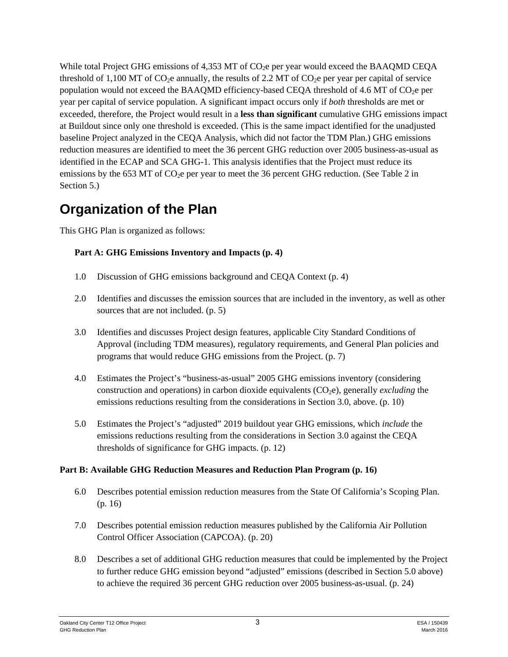While total Project GHG emissions of  $4.353$  MT of CO<sub>2</sub>e per year would exceed the BAAOMD CEOA threshold of 1,100 MT of CO<sub>2</sub>e annually, the results of 2.2 MT of CO<sub>2</sub>e per year per capital of service population would not exceed the BAAQMD efficiency-based CEQA threshold of 4.6 MT of  $CO<sub>2</sub>e$  per year per capital of service population. A significant impact occurs only if *both* thresholds are met or exceeded, therefore, the Project would result in a **less than significant** cumulative GHG emissions impact at Buildout since only one threshold is exceeded. (This is the same impact identified for the unadjusted baseline Project analyzed in the CEQA Analysis, which did not factor the TDM Plan.) GHG emissions reduction measures are identified to meet the 36 percent GHG reduction over 2005 business-as-usual as identified in the ECAP and SCA GHG-1. This analysis identifies that the Project must reduce its emissions by the 653 MT of CO<sub>2</sub>e per year to meet the 36 percent GHG reduction. (See Table 2 in Section 5.)

# **Organization of the Plan**

This GHG Plan is organized as follows:

#### **Part A: GHG Emissions Inventory and Impacts (p. 4)**

- 1.0 Discussion of GHG emissions background and CEQA Context (p. 4)
- 2.0 Identifies and discusses the emission sources that are included in the inventory, as well as other sources that are not included. (p. 5)
- 3.0 Identifies and discusses Project design features, applicable City Standard Conditions of Approval (including TDM measures), regulatory requirements, and General Plan policies and programs that would reduce GHG emissions from the Project. (p. 7)
- 4.0 Estimates the Project's "business-as-usual" 2005 GHG emissions inventory (considering construction and operations) in carbon dioxide equivalents (CO<sub>2</sub>e), generally *excluding* the emissions reductions resulting from the considerations in Section 3.0, above. (p. 10)
- 5.0 Estimates the Project's "adjusted" 2019 buildout year GHG emissions, which *include* the emissions reductions resulting from the considerations in Section 3.0 against the CEQA thresholds of significance for GHG impacts. (p. 12)

#### **Part B: Available GHG Reduction Measures and Reduction Plan Program (p. 16)**

- 6.0 Describes potential emission reduction measures from the State Of California's Scoping Plan. (p. 16)
- 7.0 Describes potential emission reduction measures published by the California Air Pollution Control Officer Association (CAPCOA). (p. 20)
- 8.0 Describes a set of additional GHG reduction measures that could be implemented by the Project to further reduce GHG emission beyond "adjusted" emissions (described in Section 5.0 above) to achieve the required 36 percent GHG reduction over 2005 business-as-usual. (p. 24)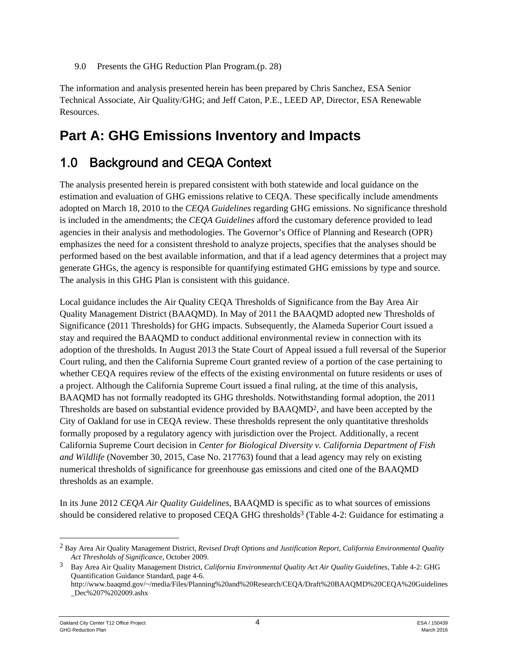9.0 Presents the GHG Reduction Plan Program.(p. 28)

The information and analysis presented herein has been prepared by Chris Sanchez, ESA Senior Technical Associate, Air Quality/GHG; and Jeff Caton, P.E., LEED AP, Director, ESA Renewable Resources.

# **Part A: GHG Emissions Inventory and Impacts**

# 1.0 Background and CEQA Context

The analysis presented herein is prepared consistent with both statewide and local guidance on the estimation and evaluation of GHG emissions relative to CEQA. These specifically include amendments adopted on March 18, 2010 to the *CEQA Guidelines* regarding GHG emissions. No significance threshold is included in the amendments; the *CEQA Guidelines* afford the customary deference provided to lead agencies in their analysis and methodologies. The Governor's Office of Planning and Research (OPR) emphasizes the need for a consistent threshold to analyze projects, specifies that the analyses should be performed based on the best available information, and that if a lead agency determines that a project may generate GHGs, the agency is responsible for quantifying estimated GHG emissions by type and source. The analysis in this GHG Plan is consistent with this guidance.

Local guidance includes the Air Quality CEQA Thresholds of Significance from the Bay Area Air Quality Management District (BAAQMD). In May of 2011 the BAAQMD adopted new Thresholds of Significance (2011 Thresholds) for GHG impacts. Subsequently, the Alameda Superior Court issued a stay and required the BAAQMD to conduct additional environmental review in connection with its adoption of the thresholds. In August 2013 the State Court of Appeal issued a full reversal of the Superior Court ruling, and then the California Supreme Court granted review of a portion of the case pertaining to whether CEQA requires review of the effects of the existing environmental on future residents or uses of a project. Although the California Supreme Court issued a final ruling, at the time of this analysis, BAAQMD has not formally readopted its GHG thresholds. Notwithstanding formal adoption, the 2011 Thresholds are based on substantial evidence provided by BAAQMD2, and have been accepted by the City of Oakland for use in CEQA review. These thresholds represent the only quantitative thresholds formally proposed by a regulatory agency with jurisdiction over the Project. Additionally, a recent California Supreme Court decision in *Center for Biological Diversity v. California Department of Fish and Wildlife* (November 30, 2015, Case No. 217763) found that a lead agency may rely on existing numerical thresholds of significance for greenhouse gas emissions and cited one of the BAAQMD thresholds as an example.

In its June 2012 *CEQA Air Quality Guidelines*, BAAQMD is specific as to what sources of emissions should be considered relative to proposed CEQA GHG thresholds<sup>3</sup> (Table 4-2: Guidance for estimating a

<sup>2</sup> Bay Area Air Quality Management District, *Revised Draft Options and Justification Report, California Environmental Quality Act Thresholds of Significance*, October 2009.

<sup>3</sup> Bay Area Air Quality Management District, *California Environmental Quality Act Air Quality Guidelines,* Table 4-2: GHG Quantification Guidance Standard, page 4-6.

http://www.baaqmd.gov/~/media/Files/Planning%20and%20Research/CEQA/Draft%20BAAQMD%20CEQA%20Guidelines \_Dec%207%202009.ashx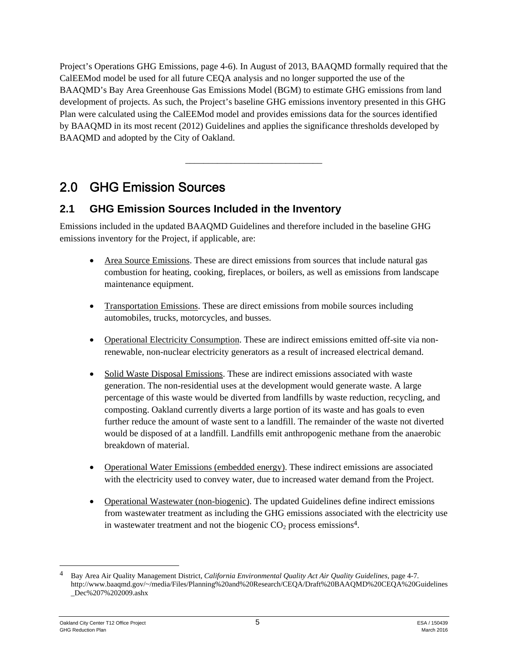Project's Operations GHG Emissions, page 4-6). In August of 2013, BAAQMD formally required that the CalEEMod model be used for all future CEQA analysis and no longer supported the use of the BAAQMD's Bay Area Greenhouse Gas Emissions Model (BGM) to estimate GHG emissions from land development of projects. As such, the Project's baseline GHG emissions inventory presented in this GHG Plan were calculated using the CalEEMod model and provides emissions data for the sources identified by BAAQMD in its most recent (2012) Guidelines and applies the significance thresholds developed by BAAQMD and adopted by the City of Oakland.

\_\_\_\_\_\_\_\_\_\_\_\_\_\_\_\_\_\_\_\_\_\_\_\_\_\_\_\_\_\_

# 2.0 GHG Emission Sources

## **2.1 GHG Emission Sources Included in the Inventory**

Emissions included in the updated BAAQMD Guidelines and therefore included in the baseline GHG emissions inventory for the Project, if applicable, are:

- Area Source Emissions. These are direct emissions from sources that include natural gas combustion for heating, cooking, fireplaces, or boilers, as well as emissions from landscape maintenance equipment.
- Transportation Emissions. These are direct emissions from mobile sources including automobiles, trucks, motorcycles, and busses.
- Operational Electricity Consumption. These are indirect emissions emitted off-site via nonrenewable, non-nuclear electricity generators as a result of increased electrical demand.
- Solid Waste Disposal Emissions. These are indirect emissions associated with waste generation. The non-residential uses at the development would generate waste. A large percentage of this waste would be diverted from landfills by waste reduction, recycling, and composting. Oakland currently diverts a large portion of its waste and has goals to even further reduce the amount of waste sent to a landfill. The remainder of the waste not diverted would be disposed of at a landfill. Landfills emit anthropogenic methane from the anaerobic breakdown of material.
- Operational Water Emissions (embedded energy). These indirect emissions are associated with the electricity used to convey water, due to increased water demand from the Project.
- Operational Wastewater (non-biogenic). The updated Guidelines define indirect emissions from wastewater treatment as including the GHG emissions associated with the electricity use in wastewater treatment and not the biogenic  $CO<sub>2</sub>$  process emissions<sup>4</sup>.

1

<sup>4</sup> Bay Area Air Quality Management District, *California Environmental Quality Act Air Quality Guidelines,* page 4-7. http://www.baaqmd.gov/~/media/Files/Planning%20and%20Research/CEQA/Draft%20BAAQMD%20CEQA%20Guidelines \_Dec%207%202009.ashx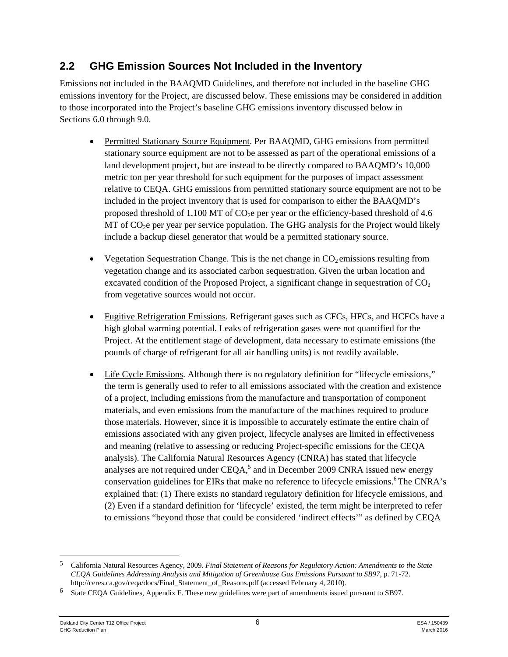## **2.2 GHG Emission Sources Not Included in the Inventory**

Emissions not included in the BAAQMD Guidelines, and therefore not included in the baseline GHG emissions inventory for the Project, are discussed below. These emissions may be considered in addition to those incorporated into the Project's baseline GHG emissions inventory discussed below in Sections 6.0 through 9.0.

- Permitted Stationary Source Equipment. Per BAAQMD, GHG emissions from permitted stationary source equipment are not to be assessed as part of the operational emissions of a land development project, but are instead to be directly compared to BAAQMD's 10,000 metric ton per year threshold for such equipment for the purposes of impact assessment relative to CEQA. GHG emissions from permitted stationary source equipment are not to be included in the project inventory that is used for comparison to either the BAAQMD's proposed threshold of  $1,100$  MT of CO<sub>2</sub>e per year or the efficiency-based threshold of 4.6  $MT$  of  $CO<sub>2</sub>e$  per year per service population. The GHG analysis for the Project would likely include a backup diesel generator that would be a permitted stationary source.
- Vegetation Sequestration Change. This is the net change in  $CO<sub>2</sub>$  emissions resulting from vegetation change and its associated carbon sequestration. Given the urban location and excavated condition of the Proposed Project, a significant change in sequestration of  $CO<sub>2</sub>$ from vegetative sources would not occur.
- Fugitive Refrigeration Emissions. Refrigerant gases such as CFCs, HFCs, and HCFCs have a high global warming potential. Leaks of refrigeration gases were not quantified for the Project. At the entitlement stage of development, data necessary to estimate emissions (the pounds of charge of refrigerant for all air handling units) is not readily available.
- Life Cycle Emissions. Although there is no regulatory definition for "lifecycle emissions," the term is generally used to refer to all emissions associated with the creation and existence of a project, including emissions from the manufacture and transportation of component materials, and even emissions from the manufacture of the machines required to produce those materials. However, since it is impossible to accurately estimate the entire chain of emissions associated with any given project, lifecycle analyses are limited in effectiveness and meaning (relative to assessing or reducing Project-specific emissions for the CEQA analysis). The California Natural Resources Agency (CNRA) has stated that lifecycle analyses are not required under  $CEQA$ , and in December 2009 CNRA issued new energy conservation guidelines for EIRs that make no reference to lifecycle emissions.<sup>6</sup> The CNRA's explained that: (1) There exists no standard regulatory definition for lifecycle emissions, and (2) Even if a standard definition for 'lifecycle' existed, the term might be interpreted to refer to emissions "beyond those that could be considered 'indirect effects'" as defined by CEQA

<sup>5</sup> California Natural Resources Agency, 2009. *Final Statement of Reasons for Regulatory Action: Amendments to the State CEQA Guidelines Addressing Analysis and Mitigation of Greenhouse Gas Emissions Pursuant to SB97*, p. 71-72. http://ceres.ca.gov/ceqa/docs/Final\_Statement\_of\_Reasons.pdf (accessed February 4, 2010).

<sup>6</sup> State CEQA Guidelines, Appendix F. These new guidelines were part of amendments issued pursuant to SB97.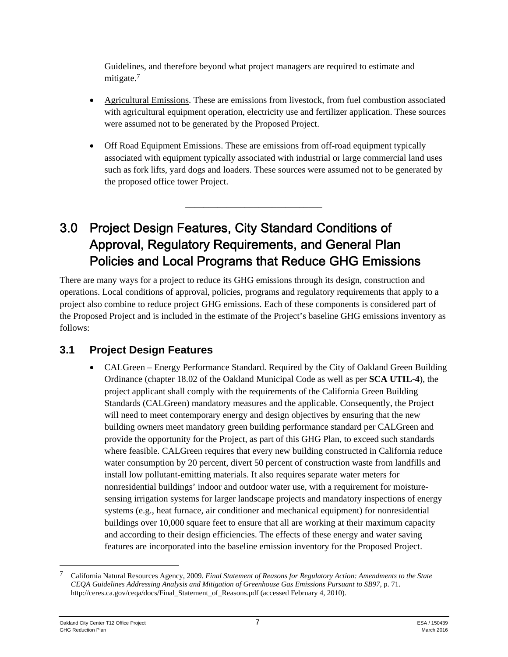Guidelines, and therefore beyond what project managers are required to estimate and mitigate.<sup>7</sup>

- Agricultural Emissions. These are emissions from livestock, from fuel combustion associated with agricultural equipment operation, electricity use and fertilizer application. These sources were assumed not to be generated by the Proposed Project.
- Off Road Equipment Emissions. These are emissions from off-road equipment typically associated with equipment typically associated with industrial or large commercial land uses such as fork lifts, yard dogs and loaders. These sources were assumed not to be generated by the proposed office tower Project.

\_\_\_\_\_\_\_\_\_\_\_\_\_\_\_\_\_\_\_\_\_\_\_\_\_\_\_\_\_\_

# 3.0 Project Design Features, City Standard Conditions of Approval, Regulatory Requirements, and General Plan Policies and Local Programs that Reduce GHG Emissions

There are many ways for a project to reduce its GHG emissions through its design, construction and operations. Local conditions of approval, policies, programs and regulatory requirements that apply to a project also combine to reduce project GHG emissions. Each of these components is considered part of the Proposed Project and is included in the estimate of the Project's baseline GHG emissions inventory as follows:

# **3.1 Project Design Features**

• CALGreen – Energy Performance Standard. Required by the City of Oakland Green Building Ordinance (chapter 18.02 of the Oakland Municipal Code as well as per **SCA UTIL-4**), the project applicant shall comply with the requirements of the California Green Building Standards (CALGreen) mandatory measures and the applicable. Consequently, the Project will need to meet contemporary energy and design objectives by ensuring that the new building owners meet mandatory green building performance standard per CALGreen and provide the opportunity for the Project, as part of this GHG Plan, to exceed such standards where feasible. CALGreen requires that every new building constructed in California reduce water consumption by 20 percent, divert 50 percent of construction waste from landfills and install low pollutant-emitting materials. It also requires separate water meters for nonresidential buildings' indoor and outdoor water use, with a requirement for moisturesensing irrigation systems for larger landscape projects and mandatory inspections of energy systems (e.g., heat furnace, air conditioner and mechanical equipment) for nonresidential buildings over 10,000 square feet to ensure that all are working at their maximum capacity and according to their design efficiencies. The effects of these energy and water saving features are incorporated into the baseline emission inventory for the Proposed Project.

1

<sup>7</sup> California Natural Resources Agency, 2009. *Final Statement of Reasons for Regulatory Action: Amendments to the State CEQA Guidelines Addressing Analysis and Mitigation of Greenhouse Gas Emissions Pursuant to SB97*, p. 71. http://ceres.ca.gov/ceqa/docs/Final\_Statement\_of\_Reasons.pdf (accessed February 4, 2010).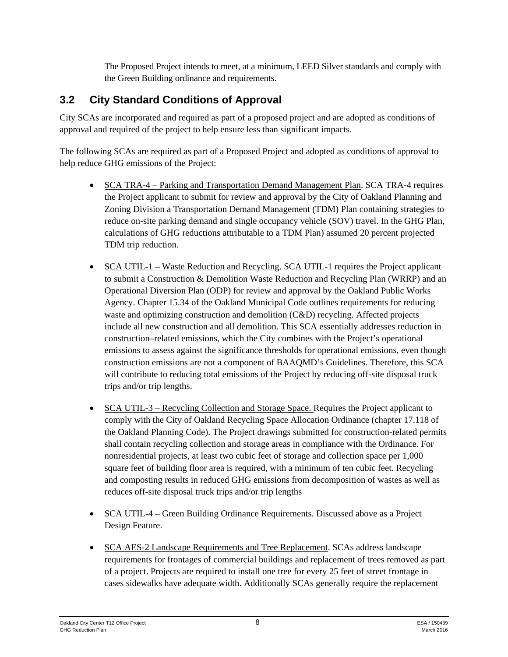The Proposed Project intends to meet, at a minimum, LEED Silver standards and comply with the Green Building ordinance and requirements.

# **3.2 City Standard Conditions of Approval**

City SCAs are incorporated and required as part of a proposed project and are adopted as conditions of approval and required of the project to help ensure less than significant impacts.

The following SCAs are required as part of a Proposed Project and adopted as conditions of approval to help reduce GHG emissions of the Project:

- SCA TRA-4 Parking and Transportation Demand Management Plan. SCA TRA-4 requires the Project applicant to submit for review and approval by the City of Oakland Planning and Zoning Division a Transportation Demand Management (TDM) Plan containing strategies to reduce on-site parking demand and single occupancy vehicle (SOV) travel. In the GHG Plan, calculations of GHG reductions attributable to a TDM Plan) assumed 20 percent projected TDM trip reduction.
- SCA UTIL-1 Waste Reduction and Recycling. SCA UTIL-1 requires the Project applicant to submit a Construction & Demolition Waste Reduction and Recycling Plan (WRRP) and an Operational Diversion Plan (ODP) for review and approval by the Oakland Public Works Agency. Chapter 15.34 of the Oakland Municipal Code outlines requirements for reducing waste and optimizing construction and demolition (C&D) recycling. Affected projects include all new construction and all demolition. This SCA essentially addresses reduction in construction–related emissions, which the City combines with the Project's operational emissions to assess against the significance thresholds for operational emissions, even though construction emissions are not a component of BAAQMD's Guidelines. Therefore, this SCA will contribute to reducing total emissions of the Project by reducing off-site disposal truck trips and/or trip lengths.
- SCA UTIL-3 Recycling Collection and Storage Space. Requires the Project applicant to comply with the City of Oakland Recycling Space Allocation Ordinance (chapter 17.118 of the Oakland Planning Code). The Project drawings submitted for construction-related permits shall contain recycling collection and storage areas in compliance with the Ordinance. For nonresidential projects, at least two cubic feet of storage and collection space per 1,000 square feet of building floor area is required, with a minimum of ten cubic feet. Recycling and composting results in reduced GHG emissions from decomposition of wastes as well as reduces off-site disposal truck trips and/or trip lengths
- SCA UTIL-4 Green Building Ordinance Requirements. Discussed above as a Project Design Feature.
- SCA AES-2 Landscape Requirements and Tree Replacement. SCAs address landscape requirements for frontages of commercial buildings and replacement of trees removed as part of a project. Projects are required to install one tree for every 25 feet of street frontage in cases sidewalks have adequate width. Additionally SCAs generally require the replacement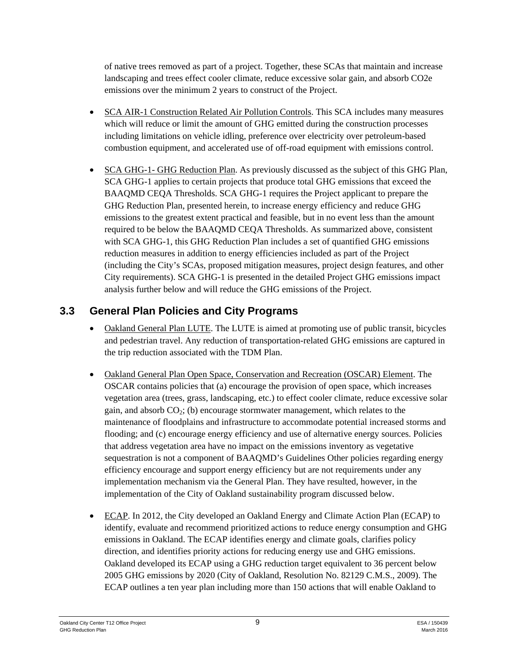of native trees removed as part of a project. Together, these SCAs that maintain and increase landscaping and trees effect cooler climate, reduce excessive solar gain, and absorb CO2e emissions over the minimum 2 years to construct of the Project.

- SCA AIR-1 Construction Related Air Pollution Controls. This SCA includes many measures which will reduce or limit the amount of GHG emitted during the construction processes including limitations on vehicle idling, preference over electricity over petroleum-based combustion equipment, and accelerated use of off-road equipment with emissions control.
- SCA GHG-1- GHG Reduction Plan. As previously discussed as the subject of this GHG Plan, SCA GHG-1 applies to certain projects that produce total GHG emissions that exceed the BAAQMD CEQA Thresholds. SCA GHG-1 requires the Project applicant to prepare the GHG Reduction Plan, presented herein, to increase energy efficiency and reduce GHG emissions to the greatest extent practical and feasible, but in no event less than the amount required to be below the BAAQMD CEQA Thresholds. As summarized above, consistent with SCA GHG-1, this GHG Reduction Plan includes a set of quantified GHG emissions reduction measures in addition to energy efficiencies included as part of the Project (including the City's SCAs, proposed mitigation measures, project design features, and other City requirements). SCA GHG-1 is presented in the detailed Project GHG emissions impact analysis further below and will reduce the GHG emissions of the Project.

## **3.3 General Plan Policies and City Programs**

- Oakland General Plan LUTE. The LUTE is aimed at promoting use of public transit, bicycles and pedestrian travel. Any reduction of transportation-related GHG emissions are captured in the trip reduction associated with the TDM Plan.
- Oakland General Plan Open Space, Conservation and Recreation (OSCAR) Element. The OSCAR contains policies that (a) encourage the provision of open space, which increases vegetation area (trees, grass, landscaping, etc.) to effect cooler climate, reduce excessive solar gain, and absorb  $CO<sub>2</sub>$ ; (b) encourage stormwater management, which relates to the maintenance of floodplains and infrastructure to accommodate potential increased storms and flooding; and (c) encourage energy efficiency and use of alternative energy sources. Policies that address vegetation area have no impact on the emissions inventory as vegetative sequestration is not a component of BAAQMD's Guidelines Other policies regarding energy efficiency encourage and support energy efficiency but are not requirements under any implementation mechanism via the General Plan. They have resulted, however, in the implementation of the City of Oakland sustainability program discussed below.
- ECAP. In 2012, the City developed an Oakland Energy and Climate Action Plan (ECAP) to identify, evaluate and recommend prioritized actions to reduce energy consumption and GHG emissions in Oakland. The ECAP identifies energy and climate goals, clarifies policy direction, and identifies priority actions for reducing energy use and GHG emissions. Oakland developed its ECAP using a GHG reduction target equivalent to 36 percent below 2005 GHG emissions by 2020 (City of Oakland, Resolution No. 82129 C.M.S., 2009). The ECAP outlines a ten year plan including more than 150 actions that will enable Oakland to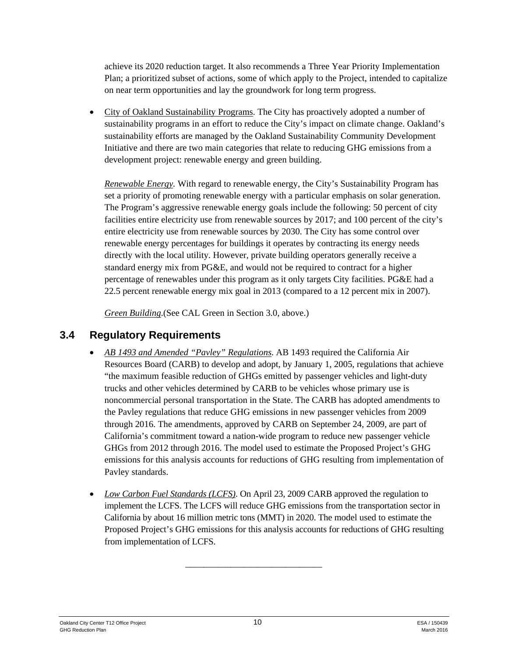achieve its 2020 reduction target. It also recommends a Three Year Priority Implementation Plan; a prioritized subset of actions, some of which apply to the Project, intended to capitalize on near term opportunities and lay the groundwork for long term progress.

 City of Oakland Sustainability Programs. The City has proactively adopted a number of sustainability programs in an effort to reduce the City's impact on climate change. Oakland's sustainability efforts are managed by the Oakland Sustainability Community Development Initiative and there are two main categories that relate to reducing GHG emissions from a development project: renewable energy and green building.

*Renewable Energy.* With regard to renewable energy, the City's Sustainability Program has set a priority of promoting renewable energy with a particular emphasis on solar generation. The Program's aggressive renewable energy goals include the following: 50 percent of city facilities entire electricity use from renewable sources by 2017; and 100 percent of the city's entire electricity use from renewable sources by 2030. The City has some control over renewable energy percentages for buildings it operates by contracting its energy needs directly with the local utility. However, private building operators generally receive a standard energy mix from PG&E, and would not be required to contract for a higher percentage of renewables under this program as it only targets City facilities. PG&E had a 22.5 percent renewable energy mix goal in 2013 (compared to a 12 percent mix in 2007).

*Green Building*.(See CAL Green in Section 3.0, above.)

## **3.4 Regulatory Requirements**

- *AB 1493 and Amended "Pavley" Regulations*. AB 1493 required the California Air Resources Board (CARB) to develop and adopt, by January 1, 2005, regulations that achieve "the maximum feasible reduction of GHGs emitted by passenger vehicles and light-duty trucks and other vehicles determined by CARB to be vehicles whose primary use is noncommercial personal transportation in the State. The CARB has adopted amendments to the Pavley regulations that reduce GHG emissions in new passenger vehicles from 2009 through 2016. The amendments, approved by CARB on September 24, 2009, are part of California's commitment toward a nation-wide program to reduce new passenger vehicle GHGs from 2012 through 2016. The model used to estimate the Proposed Project's GHG emissions for this analysis accounts for reductions of GHG resulting from implementation of Pavley standards.
- *Low Carbon Fuel Standards (LCFS)*. On April 23, 2009 CARB approved the regulation to implement the LCFS. The LCFS will reduce GHG emissions from the transportation sector in California by about 16 million metric tons (MMT) in 2020. The model used to estimate the Proposed Project's GHG emissions for this analysis accounts for reductions of GHG resulting from implementation of LCFS.

\_\_\_\_\_\_\_\_\_\_\_\_\_\_\_\_\_\_\_\_\_\_\_\_\_\_\_\_\_\_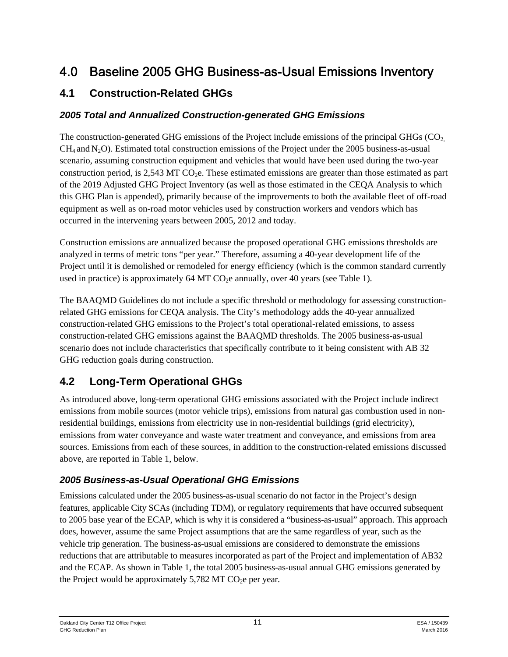# 4.0 Baseline 2005 GHG Business-as-Usual Emissions Inventory

## **4.1 Construction-Related GHGs**

#### *2005 Total and Annualized Construction-generated GHG Emissions*

The construction-generated GHG emissions of the Project include emissions of the principal GHGs  $(CO<sub>2</sub>)$  $CH<sub>4</sub>$  and N<sub>2</sub>O). Estimated total construction emissions of the Project under the 2005 business-as-usual scenario, assuming construction equipment and vehicles that would have been used during the two-year construction period, is  $2.543$  MT CO<sub>2</sub>e. These estimated emissions are greater than those estimated as part of the 2019 Adjusted GHG Project Inventory (as well as those estimated in the CEQA Analysis to which this GHG Plan is appended), primarily because of the improvements to both the available fleet of off-road equipment as well as on-road motor vehicles used by construction workers and vendors which has occurred in the intervening years between 2005, 2012 and today.

Construction emissions are annualized because the proposed operational GHG emissions thresholds are analyzed in terms of metric tons "per year." Therefore, assuming a 40-year development life of the Project until it is demolished or remodeled for energy efficiency (which is the common standard currently used in practice) is approximately  $64$  MT CO<sub>2</sub>e annually, over  $40$  years (see Table 1).

The BAAQMD Guidelines do not include a specific threshold or methodology for assessing constructionrelated GHG emissions for CEQA analysis. The City's methodology adds the 40-year annualized construction-related GHG emissions to the Project's total operational-related emissions, to assess construction-related GHG emissions against the BAAQMD thresholds. The 2005 business-as-usual scenario does not include characteristics that specifically contribute to it being consistent with AB 32 GHG reduction goals during construction.

# **4.2 Long-Term Operational GHGs**

As introduced above, long-term operational GHG emissions associated with the Project include indirect emissions from mobile sources (motor vehicle trips), emissions from natural gas combustion used in nonresidential buildings, emissions from electricity use in non-residential buildings (grid electricity), emissions from water conveyance and waste water treatment and conveyance, and emissions from area sources. Emissions from each of these sources, in addition to the construction-related emissions discussed above, are reported in Table 1, below.

### *2005 Business-as-Usual Operational GHG Emissions*

Emissions calculated under the 2005 business-as-usual scenario do not factor in the Project's design features, applicable City SCAs (including TDM), or regulatory requirements that have occurred subsequent to 2005 base year of the ECAP, which is why it is considered a "business-as-usual" approach. This approach does, however, assume the same Project assumptions that are the same regardless of year, such as the vehicle trip generation. The business-as-usual emissions are considered to demonstrate the emissions reductions that are attributable to measures incorporated as part of the Project and implementation of AB32 and the ECAP. As shown in Table 1, the total 2005 business-as-usual annual GHG emissions generated by the Project would be approximately  $5,782$  MT CO<sub>2</sub>e per year.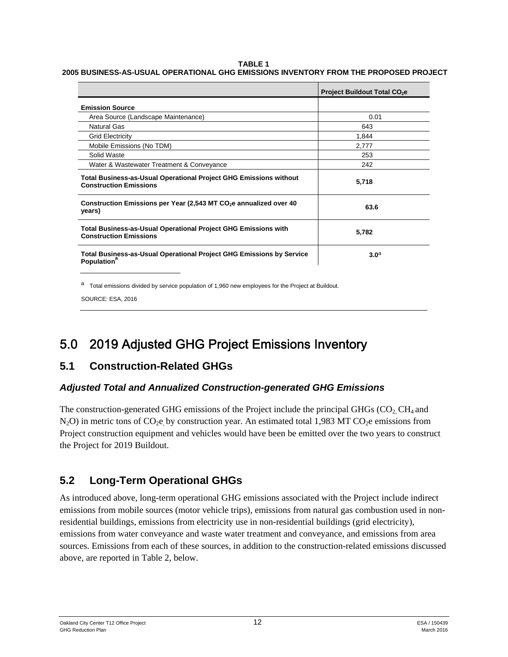#### **TABLE 1**

#### **2005 BUSINESS-AS-USUAL OPERATIONAL GHG EMISSIONS INVENTORY FROM THE PROPOSED PROJECT**

|                                                                                                           | Project Buildout Total CO <sub>2</sub> e |
|-----------------------------------------------------------------------------------------------------------|------------------------------------------|
| <b>Emission Source</b>                                                                                    |                                          |
| Area Source (Landscape Maintenance)                                                                       | 0.01                                     |
| Natural Gas                                                                                               | 643                                      |
| <b>Grid Electricity</b>                                                                                   | 1.844                                    |
| Mobile Emissions (No TDM)                                                                                 | 2,777                                    |
| Solid Waste                                                                                               | 253                                      |
| Water & Wastewater Treatment & Conveyance                                                                 | 242                                      |
| <b>Total Business-as-Usual Operational Project GHG Emissions without</b><br><b>Construction Emissions</b> | 5,718                                    |
| Construction Emissions per Year (2,543 MT $CO2e$ annualized over 40<br>years)                             | 63.6                                     |
| <b>Total Business-as-Usual Operational Project GHG Emissions with</b><br><b>Construction Emissions</b>    | 5,782                                    |
| Total Business-as-Usual Operational Project GHG Emissions by Service<br>Population <sup>a</sup>           | 3.0 <sup>a</sup>                         |

a Total emissions divided by service population of 1,960 new employees for the Project at Buildout.

SOURCE: ESA, 2016

# 5.0 2019 Adjusted GHG Project Emissions Inventory

### **5.1 Construction-Related GHGs**

#### *Adjusted Total and Annualized Construction-generated GHG Emissions*

The construction-generated GHG emissions of the Project include the principal GHGs ( $CO<sub>2</sub>CH<sub>4</sub>$  and  $N_2O$ ) in metric tons of  $CO_2e$  by construction year. An estimated total 1,983 MT CO<sub>2</sub>e emissions from Project construction equipment and vehicles would have been be emitted over the two years to construct the Project for 2019 Buildout.

## **5.2 Long-Term Operational GHGs**

As introduced above, long-term operational GHG emissions associated with the Project include indirect emissions from mobile sources (motor vehicle trips), emissions from natural gas combustion used in nonresidential buildings, emissions from electricity use in non-residential buildings (grid electricity), emissions from water conveyance and waste water treatment and conveyance, and emissions from area sources. Emissions from each of these sources, in addition to the construction-related emissions discussed above, are reported in Table 2, below.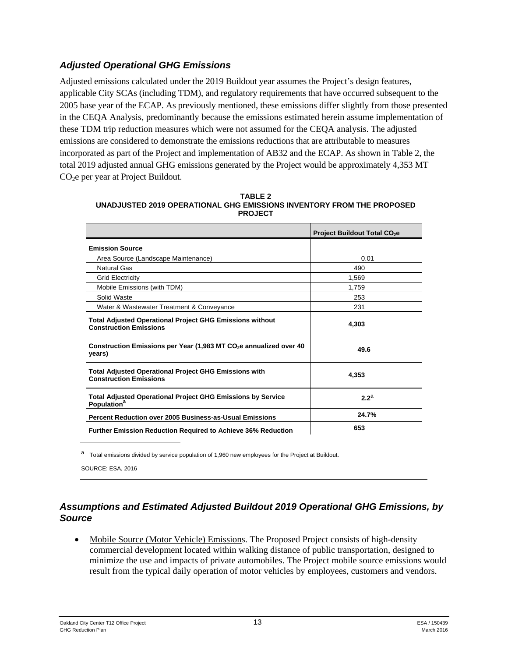#### *Adjusted Operational GHG Emissions*

Adjusted emissions calculated under the 2019 Buildout year assumes the Project's design features, applicable City SCAs (including TDM), and regulatory requirements that have occurred subsequent to the 2005 base year of the ECAP. As previously mentioned, these emissions differ slightly from those presented in the CEQA Analysis, predominantly because the emissions estimated herein assume implementation of these TDM trip reduction measures which were not assumed for the CEQA analysis. The adjusted emissions are considered to demonstrate the emissions reductions that are attributable to measures incorporated as part of the Project and implementation of AB32 and the ECAP. As shown in Table 2, the total 2019 adjusted annual GHG emissions generated by the Project would be approximately 4,353 MT CO<sub>2</sub>e per year at Project Buildout.

|                                                                                                  | <b>Project Buildout Total CO<sub>2</sub>e</b> |
|--------------------------------------------------------------------------------------------------|-----------------------------------------------|
| <b>Emission Source</b>                                                                           |                                               |
| Area Source (Landscape Maintenance)                                                              | 0.01                                          |
| Natural Gas                                                                                      | 490                                           |
| <b>Grid Electricity</b>                                                                          | 1,569                                         |
| Mobile Emissions (with TDM)                                                                      | 1,759                                         |
| Solid Waste                                                                                      | 253                                           |
| Water & Wastewater Treatment & Conveyance                                                        | 231                                           |
| <b>Total Adjusted Operational Project GHG Emissions without</b><br><b>Construction Emissions</b> | 4,303                                         |
| Construction Emissions per Year (1,983 MT $CO2e$ annualized over 40<br>years)                    | 49.6                                          |
| <b>Total Adjusted Operational Project GHG Emissions with</b><br><b>Construction Emissions</b>    | 4,353                                         |
| <b>Total Adjusted Operational Project GHG Emissions by Service</b><br>Population <sup>a</sup>    | 2.2 <sup>a</sup>                              |
| <b>Percent Reduction over 2005 Business-as-Usual Emissions</b>                                   | 24.7%                                         |
| <b>Further Emission Reduction Required to Achieve 36% Reduction</b>                              | 653                                           |

| TABLE 2                                                                |
|------------------------------------------------------------------------|
| UNADJUSTED 2019 OPERATIONAL GHG EMISSIONS INVENTORY FROM THE PROPOSED_ |
| <b>PROJECT</b>                                                         |

a Total emissions divided by service population of 1,960 new employees for the Project at Buildout.

SOURCE: ESA, 2016

#### *Assumptions and Estimated Adjusted Buildout 2019 Operational GHG Emissions, by Source*

• Mobile Source (Motor Vehicle) Emissions. The Proposed Project consists of high-density commercial development located within walking distance of public transportation, designed to minimize the use and impacts of private automobiles. The Project mobile source emissions would result from the typical daily operation of motor vehicles by employees, customers and vendors.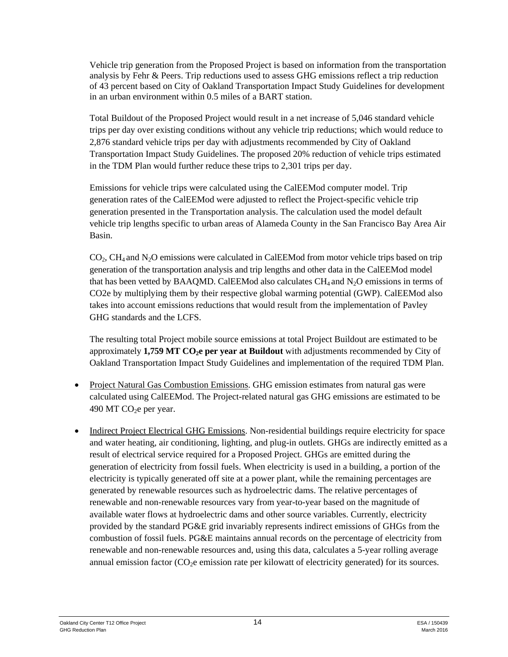Vehicle trip generation from the Proposed Project is based on information from the transportation analysis by Fehr & Peers. Trip reductions used to assess GHG emissions reflect a trip reduction of 43 percent based on City of Oakland Transportation Impact Study Guidelines for development in an urban environment within 0.5 miles of a BART station.

Total Buildout of the Proposed Project would result in a net increase of 5,046 standard vehicle trips per day over existing conditions without any vehicle trip reductions; which would reduce to 2,876 standard vehicle trips per day with adjustments recommended by City of Oakland Transportation Impact Study Guidelines. The proposed 20% reduction of vehicle trips estimated in the TDM Plan would further reduce these trips to 2,301 trips per day.

Emissions for vehicle trips were calculated using the CalEEMod computer model. Trip generation rates of the CalEEMod were adjusted to reflect the Project-specific vehicle trip generation presented in the Transportation analysis. The calculation used the model default vehicle trip lengths specific to urban areas of Alameda County in the San Francisco Bay Area Air Basin.

 $CO<sub>2</sub>$ ,  $CH<sub>4</sub>$  and N<sub>2</sub>O emissions were calculated in CalEEMod from motor vehicle trips based on trip generation of the transportation analysis and trip lengths and other data in the CalEEMod model that has been vetted by BAAQMD. CalEEMod also calculates  $CH_4$  and  $N_2O$  emissions in terms of CO2e by multiplying them by their respective global warming potential (GWP). CalEEMod also takes into account emissions reductions that would result from the implementation of Pavley GHG standards and the LCFS.

The resulting total Project mobile source emissions at total Project Buildout are estimated to be approximately 1,759 MT CO<sub>2</sub>e per year at Buildout with adjustments recommended by City of Oakland Transportation Impact Study Guidelines and implementation of the required TDM Plan.

- Project Natural Gas Combustion Emissions. GHG emission estimates from natural gas were calculated using CalEEMod. The Project-related natural gas GHG emissions are estimated to be 490 MT  $CO<sub>2</sub>e$  per year.
- Indirect Project Electrical GHG Emissions. Non-residential buildings require electricity for space and water heating, air conditioning, lighting, and plug-in outlets. GHGs are indirectly emitted as a result of electrical service required for a Proposed Project. GHGs are emitted during the generation of electricity from fossil fuels. When electricity is used in a building, a portion of the electricity is typically generated off site at a power plant, while the remaining percentages are generated by renewable resources such as hydroelectric dams. The relative percentages of renewable and non-renewable resources vary from year-to-year based on the magnitude of available water flows at hydroelectric dams and other source variables. Currently, electricity provided by the standard PG&E grid invariably represents indirect emissions of GHGs from the combustion of fossil fuels. PG&E maintains annual records on the percentage of electricity from renewable and non-renewable resources and, using this data, calculates a 5-year rolling average annual emission factor (CO<sub>2</sub>e emission rate per kilowatt of electricity generated) for its sources.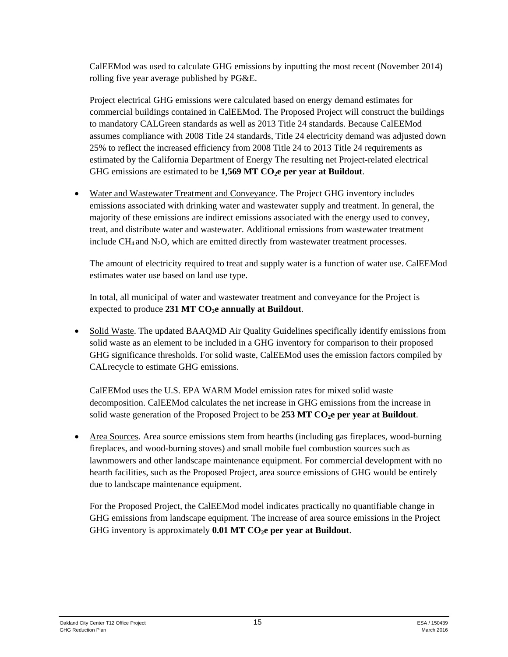CalEEMod was used to calculate GHG emissions by inputting the most recent (November 2014) rolling five year average published by PG&E.

Project electrical GHG emissions were calculated based on energy demand estimates for commercial buildings contained in CalEEMod. The Proposed Project will construct the buildings to mandatory CALGreen standards as well as 2013 Title 24 standards. Because CalEEMod assumes compliance with 2008 Title 24 standards, Title 24 electricity demand was adjusted down 25% to reflect the increased efficiency from 2008 Title 24 to 2013 Title 24 requirements as estimated by the California Department of Energy The resulting net Project-related electrical GHG emissions are estimated to be 1,569 MT CO<sub>2</sub>e per year at Buildout.

 Water and Wastewater Treatment and Conveyance. The Project GHG inventory includes emissions associated with drinking water and wastewater supply and treatment. In general, the majority of these emissions are indirect emissions associated with the energy used to convey, treat, and distribute water and wastewater. Additional emissions from wastewater treatment include  $CH_4$  and  $N_2O$ , which are emitted directly from wastewater treatment processes.

The amount of electricity required to treat and supply water is a function of water use. CalEEMod estimates water use based on land use type.

In total, all municipal of water and wastewater treatment and conveyance for the Project is expected to produce 231 MT CO<sub>2</sub>e annually at Buildout.

 Solid Waste. The updated BAAQMD Air Quality Guidelines specifically identify emissions from solid waste as an element to be included in a GHG inventory for comparison to their proposed GHG significance thresholds. For solid waste, CalEEMod uses the emission factors compiled by CALrecycle to estimate GHG emissions.

CalEEMod uses the U.S. EPA WARM Model emission rates for mixed solid waste decomposition. CalEEMod calculates the net increase in GHG emissions from the increase in solid waste generation of the Proposed Project to be 253 MT CO<sub>2</sub>e per year at Buildout.

 Area Sources. Area source emissions stem from hearths (including gas fireplaces, wood-burning fireplaces, and wood-burning stoves) and small mobile fuel combustion sources such as lawnmowers and other landscape maintenance equipment. For commercial development with no hearth facilities, such as the Proposed Project, area source emissions of GHG would be entirely due to landscape maintenance equipment.

For the Proposed Project, the CalEEMod model indicates practically no quantifiable change in GHG emissions from landscape equipment. The increase of area source emissions in the Project GHG inventory is approximately  $0.01$  MT CO<sub>2</sub>e per year at Buildout.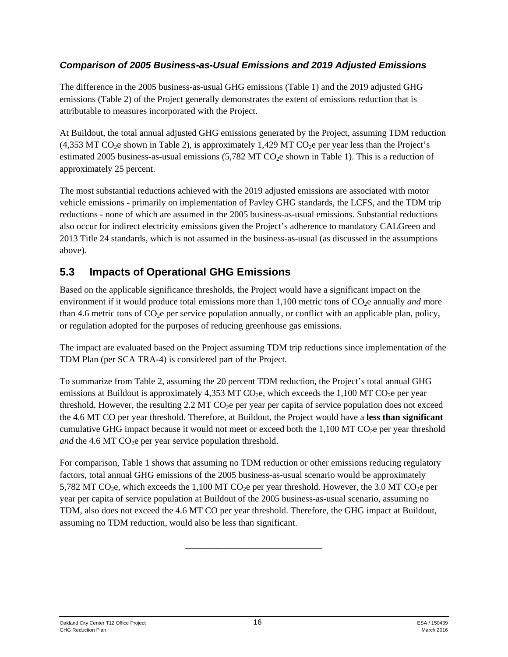#### *Comparison of 2005 Business-as-Usual Emissions and 2019 Adjusted Emissions*

The difference in the 2005 business-as-usual GHG emissions (Table 1) and the 2019 adjusted GHG emissions (Table 2) of the Project generally demonstrates the extent of emissions reduction that is attributable to measures incorporated with the Project.

At Buildout, the total annual adjusted GHG emissions generated by the Project, assuming TDM reduction  $(4,353$  MT CO<sub>2</sub>e shown in Table 2), is approximately 1,429 MT CO<sub>2</sub>e per year less than the Project's estimated 2005 business-as-usual emissions  $(5,782$  MT CO<sub>2</sub>e shown in Table 1). This is a reduction of approximately 25 percent.

The most substantial reductions achieved with the 2019 adjusted emissions are associated with motor vehicle emissions - primarily on implementation of Pavley GHG standards, the LCFS, and the TDM trip reductions - none of which are assumed in the 2005 business-as-usual emissions. Substantial reductions also occur for indirect electricity emissions given the Project's adherence to mandatory CALGreen and 2013 Title 24 standards, which is not assumed in the business-as-usual (as discussed in the assumptions above).

## **5.3 Impacts of Operational GHG Emissions**

Based on the applicable significance thresholds, the Project would have a significant impact on the environment if it would produce total emissions more than 1,100 metric tons of CO<sub>2</sub>e annually *and* more than 4.6 metric tons of  $CO<sub>2</sub>e$  per service population annually, or conflict with an applicable plan, policy, or regulation adopted for the purposes of reducing greenhouse gas emissions.

The impact are evaluated based on the Project assuming TDM trip reductions since implementation of the TDM Plan (per SCA TRA-4) is considered part of the Project.

To summarize from Table 2, assuming the 20 percent TDM reduction, the Project's total annual GHG emissions at Buildout is approximately 4,353 MT CO<sub>2</sub>e, which exceeds the 1,100 MT CO<sub>2</sub>e per year threshold. However, the resulting  $2.2$  MT CO<sub>2</sub>e per year per capita of service population does not exceed the 4.6 MT CO per year threshold. Therefore, at Buildout, the Project would have a **less than significant** cumulative GHG impact because it would not meet or exceed both the  $1,100$  MT CO<sub>2</sub>e per year threshold *and* the 4.6 MT  $CO<sub>2</sub>e$  per year service population threshold.

For comparison, Table 1 shows that assuming no TDM reduction or other emissions reducing regulatory factors, total annual GHG emissions of the 2005 business-as-usual scenario would be approximately 5,782 MT CO<sub>2</sub>e, which exceeds the 1,100 MT CO<sub>2</sub>e per year threshold. However, the 3.0 MT CO<sub>2</sub>e per year per capita of service population at Buildout of the 2005 business-as-usual scenario, assuming no TDM, also does not exceed the 4.6 MT CO per year threshold. Therefore, the GHG impact at Buildout, assuming no TDM reduction, would also be less than significant.

\_\_\_\_\_\_\_\_\_\_\_\_\_\_\_\_\_\_\_\_\_\_\_\_\_\_\_\_\_\_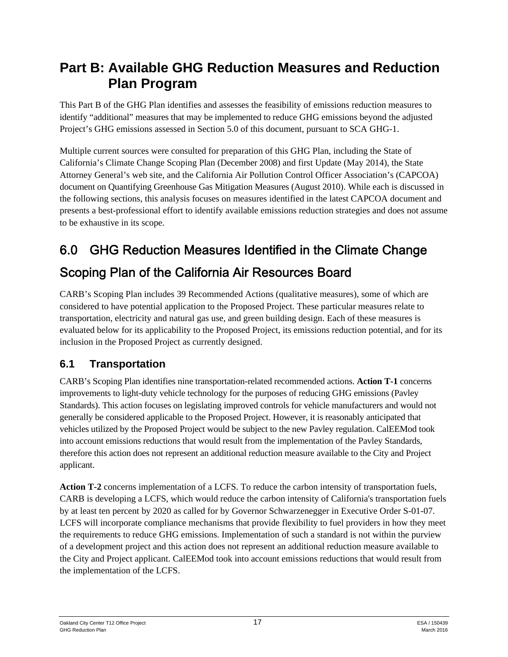# **Part B: Available GHG Reduction Measures and Reduction Plan Program**

This Part B of the GHG Plan identifies and assesses the feasibility of emissions reduction measures to identify "additional" measures that may be implemented to reduce GHG emissions beyond the adjusted Project's GHG emissions assessed in Section 5.0 of this document, pursuant to SCA GHG-1.

Multiple current sources were consulted for preparation of this GHG Plan, including the State of California's Climate Change Scoping Plan (December 2008) and first Update (May 2014), the State Attorney General's web site, and the California Air Pollution Control Officer Association's (CAPCOA) document on Quantifying Greenhouse Gas Mitigation Measures (August 2010). While each is discussed in the following sections, this analysis focuses on measures identified in the latest CAPCOA document and presents a best-professional effort to identify available emissions reduction strategies and does not assume to be exhaustive in its scope.

# 6.0 GHG Reduction Measures Identified in the Climate Change

# Scoping Plan of the California Air Resources Board

CARB's Scoping Plan includes 39 Recommended Actions (qualitative measures), some of which are considered to have potential application to the Proposed Project. These particular measures relate to transportation, electricity and natural gas use, and green building design. Each of these measures is evaluated below for its applicability to the Proposed Project, its emissions reduction potential, and for its inclusion in the Proposed Project as currently designed.

# **6.1 Transportation**

CARB's Scoping Plan identifies nine transportation-related recommended actions. **Action T-1** concerns improvements to light-duty vehicle technology for the purposes of reducing GHG emissions (Pavley Standards). This action focuses on legislating improved controls for vehicle manufacturers and would not generally be considered applicable to the Proposed Project. However, it is reasonably anticipated that vehicles utilized by the Proposed Project would be subject to the new Pavley regulation. CalEEMod took into account emissions reductions that would result from the implementation of the Pavley Standards, therefore this action does not represent an additional reduction measure available to the City and Project applicant.

**Action T-2** concerns implementation of a LCFS. To reduce the carbon intensity of transportation fuels, CARB is developing a LCFS, which would reduce the carbon intensity of California's transportation fuels by at least ten percent by 2020 as called for by Governor Schwarzenegger in Executive Order S-01-07. LCFS will incorporate compliance mechanisms that provide flexibility to fuel providers in how they meet the requirements to reduce GHG emissions. Implementation of such a standard is not within the purview of a development project and this action does not represent an additional reduction measure available to the City and Project applicant. CalEEMod took into account emissions reductions that would result from the implementation of the LCFS.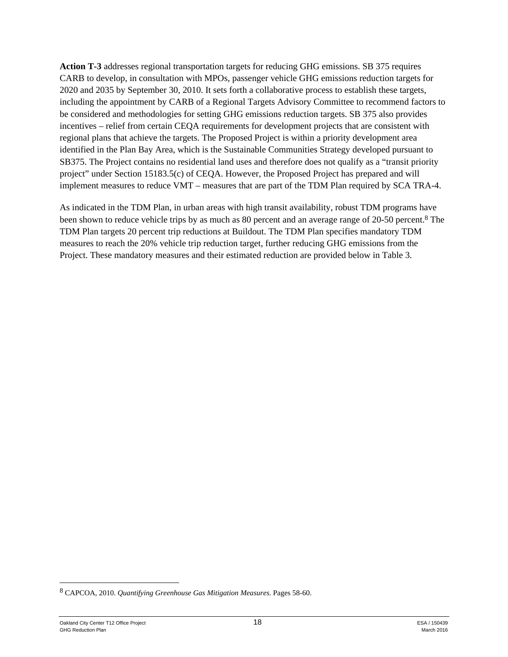**Action T-3** addresses regional transportation targets for reducing GHG emissions. SB 375 requires CARB to develop, in consultation with MPOs, passenger vehicle GHG emissions reduction targets for 2020 and 2035 by September 30, 2010. It sets forth a collaborative process to establish these targets, including the appointment by CARB of a Regional Targets Advisory Committee to recommend factors to be considered and methodologies for setting GHG emissions reduction targets. SB 375 also provides incentives – relief from certain CEQA requirements for development projects that are consistent with regional plans that achieve the targets. The Proposed Project is within a priority development area identified in the Plan Bay Area, which is the Sustainable Communities Strategy developed pursuant to SB375. The Project contains no residential land uses and therefore does not qualify as a "transit priority project" under Section 15183.5(c) of CEQA. However, the Proposed Project has prepared and will implement measures to reduce VMT – measures that are part of the TDM Plan required by SCA TRA-4.

As indicated in the TDM Plan, in urban areas with high transit availability, robust TDM programs have been shown to reduce vehicle trips by as much as 80 percent and an average range of 20-50 percent.8 The TDM Plan targets 20 percent trip reductions at Buildout. The TDM Plan specifies mandatory TDM measures to reach the 20% vehicle trip reduction target, further reducing GHG emissions from the Project. These mandatory measures and their estimated reduction are provided below in Table 3.

<sup>8</sup> CAPCOA, 2010. *Quantifying Greenhouse Gas Mitigation Measures*. Pages 58-60.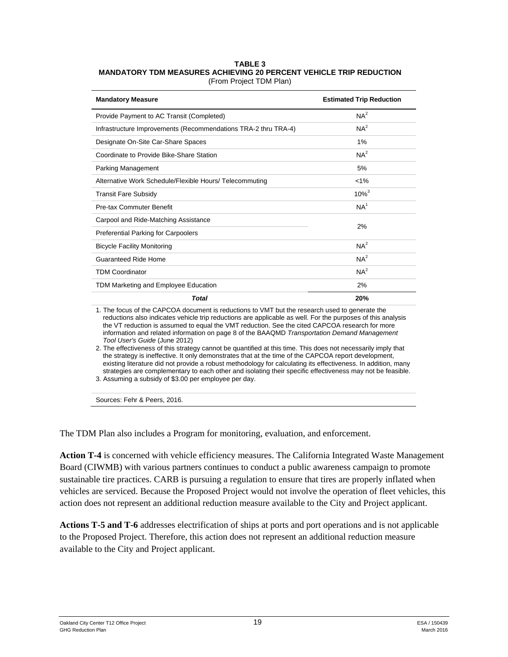#### **TABLE 3 MANDATORY TDM MEASURES ACHIEVING 20 PERCENT VEHICLE TRIP REDUCTION**

| (From Project TDM Plan) |  |
|-------------------------|--|
|-------------------------|--|

| <b>Mandatory Measure</b>                                       | <b>Estimated Trip Reduction</b> |
|----------------------------------------------------------------|---------------------------------|
| Provide Payment to AC Transit (Completed)                      | NA <sup>2</sup>                 |
| Infrastructure Improvements (Recommendations TRA-2 thru TRA-4) | NA <sup>2</sup>                 |
| Designate On-Site Car-Share Spaces                             | 1%                              |
| Coordinate to Provide Bike-Share Station                       | NA <sup>2</sup>                 |
| Parking Management                                             | 5%                              |
| Alternative Work Schedule/Flexible Hours/ Telecommuting        | $< 1\%$                         |
| <b>Transit Fare Subsidy</b>                                    | $10\%^{3}$                      |
| Pre-tax Commuter Benefit                                       | NA <sup>1</sup>                 |
| Carpool and Ride-Matching Assistance                           | 2%                              |
| <b>Preferential Parking for Carpoolers</b>                     |                                 |
| <b>Bicycle Facility Monitoring</b>                             | NA <sup>2</sup>                 |
| Guaranteed Ride Home                                           | NA <sup>2</sup>                 |
| <b>TDM Coordinator</b>                                         | NA <sup>2</sup>                 |
| TDM Marketing and Employee Education                           | 2%                              |
| <b>Total</b>                                                   | 20%                             |

1. The focus of the CAPCOA document is reductions to VMT but the research used to generate the reductions also indicates vehicle trip reductions are applicable as well. For the purposes of this analysis the VT reduction is assumed to equal the VMT reduction. See the cited CAPCOA research for more information and related information on page 8 of the BAAQMD *Transportation Demand Management Tool User's Guide* (June 2012)

2. The effectiveness of this strategy cannot be quantified at this time. This does not necessarily imply that the strategy is ineffective. It only demonstrates that at the time of the CAPCOA report development, existing literature did not provide a robust methodology for calculating its effectiveness. In addition, many strategies are complementary to each other and isolating their specific effectiveness may not be feasible.

3. Assuming a subsidy of \$3.00 per employee per day.

Sources: Fehr & Peers, 2016.

The TDM Plan also includes a Program for monitoring, evaluation, and enforcement.

**Action T-4** is concerned with vehicle efficiency measures. The California Integrated Waste Management Board (CIWMB) with various partners continues to conduct a public awareness campaign to promote sustainable tire practices. CARB is pursuing a regulation to ensure that tires are properly inflated when vehicles are serviced. Because the Proposed Project would not involve the operation of fleet vehicles, this action does not represent an additional reduction measure available to the City and Project applicant.

**Actions T-5 and T-6** addresses electrification of ships at ports and port operations and is not applicable to the Proposed Project. Therefore, this action does not represent an additional reduction measure available to the City and Project applicant.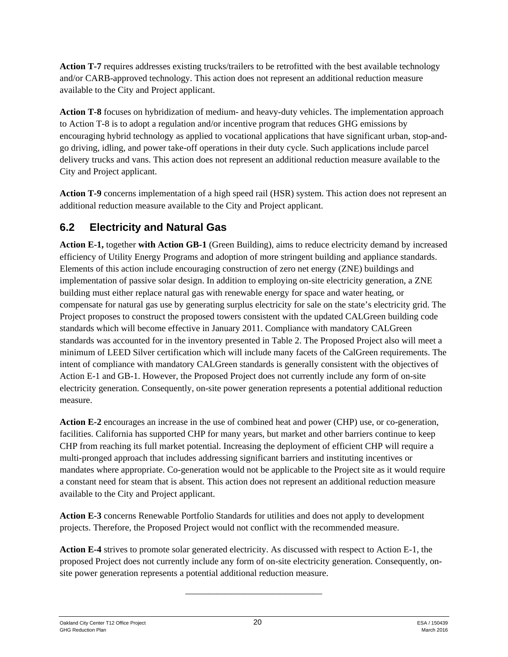**Action T-7** requires addresses existing trucks/trailers to be retrofitted with the best available technology and/or CARB-approved technology. This action does not represent an additional reduction measure available to the City and Project applicant.

**Action T-8** focuses on hybridization of medium- and heavy-duty vehicles. The implementation approach to Action T-8 is to adopt a regulation and/or incentive program that reduces GHG emissions by encouraging hybrid technology as applied to vocational applications that have significant urban, stop-andgo driving, idling, and power take-off operations in their duty cycle. Such applications include parcel delivery trucks and vans. This action does not represent an additional reduction measure available to the City and Project applicant.

**Action T-9** concerns implementation of a high speed rail (HSR) system. This action does not represent an additional reduction measure available to the City and Project applicant.

# **6.2 Electricity and Natural Gas**

**Action E-1,** together **with Action GB-1** (Green Building), aims to reduce electricity demand by increased efficiency of Utility Energy Programs and adoption of more stringent building and appliance standards. Elements of this action include encouraging construction of zero net energy (ZNE) buildings and implementation of passive solar design. In addition to employing on-site electricity generation, a ZNE building must either replace natural gas with renewable energy for space and water heating, or compensate for natural gas use by generating surplus electricity for sale on the state's electricity grid. The Project proposes to construct the proposed towers consistent with the updated CALGreen building code standards which will become effective in January 2011. Compliance with mandatory CALGreen standards was accounted for in the inventory presented in Table 2. The Proposed Project also will meet a minimum of LEED Silver certification which will include many facets of the CalGreen requirements. The intent of compliance with mandatory CALGreen standards is generally consistent with the objectives of Action E-1 and GB-1. However, the Proposed Project does not currently include any form of on-site electricity generation. Consequently, on-site power generation represents a potential additional reduction measure.

**Action E-2** encourages an increase in the use of combined heat and power (CHP) use, or co-generation, facilities. California has supported CHP for many years, but market and other barriers continue to keep CHP from reaching its full market potential. Increasing the deployment of efficient CHP will require a multi-pronged approach that includes addressing significant barriers and instituting incentives or mandates where appropriate. Co-generation would not be applicable to the Project site as it would require a constant need for steam that is absent. This action does not represent an additional reduction measure available to the City and Project applicant.

**Action E-3** concerns Renewable Portfolio Standards for utilities and does not apply to development projects. Therefore, the Proposed Project would not conflict with the recommended measure.

**Action E-4** strives to promote solar generated electricity. As discussed with respect to Action E-1, the proposed Project does not currently include any form of on-site electricity generation. Consequently, onsite power generation represents a potential additional reduction measure.

\_\_\_\_\_\_\_\_\_\_\_\_\_\_\_\_\_\_\_\_\_\_\_\_\_\_\_\_\_\_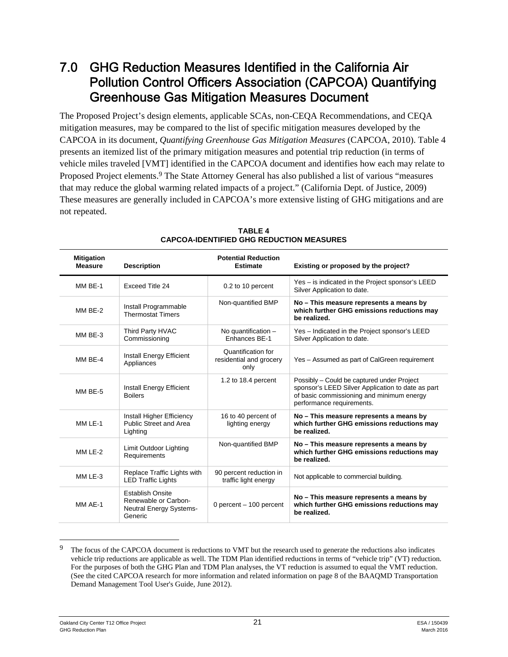# 7.0 GHG Reduction Measures Identified in the California Air Pollution Control Officers Association (CAPCOA) Quantifying Greenhouse Gas Mitigation Measures Document

The Proposed Project's design elements, applicable SCAs, non-CEQA Recommendations, and CEQA mitigation measures, may be compared to the list of specific mitigation measures developed by the CAPCOA in its document, *Quantifying Greenhouse Gas Mitigation Measures* (CAPCOA, 2010). Table 4 presents an itemized list of the primary mitigation measures and potential trip reduction (in terms of vehicle miles traveled [VMT] identified in the CAPCOA document and identifies how each may relate to Proposed Project elements.9 The State Attorney General has also published a list of various "measures that may reduce the global warming related impacts of a project." (California Dept. of Justice, 2009) These measures are generally included in CAPCOA's more extensive listing of GHG mitigations and are not repeated.

| <b>Mitigation</b><br><b>Measure</b> | <b>Description</b>                                                                    | <b>Potential Reduction</b><br><b>Estimate</b>         | Existing or proposed by the project?                                                                                                                                      |
|-------------------------------------|---------------------------------------------------------------------------------------|-------------------------------------------------------|---------------------------------------------------------------------------------------------------------------------------------------------------------------------------|
| MM BE-1                             | Exceed Title 24                                                                       | 0.2 to 10 percent                                     | Yes – is indicated in the Project sponsor's LEED<br>Silver Application to date.                                                                                           |
| MM BE-2                             | Install Programmable<br><b>Thermostat Timers</b>                                      | Non-quantified BMP                                    | No - This measure represents a means by<br>which further GHG emissions reductions may<br>be realized.                                                                     |
| MM BE-3                             | Third Party HVAC<br>Commissioning                                                     | No quantification $-$<br>Enhances BE-1                | Yes - Indicated in the Project sponsor's LEED<br>Silver Application to date.                                                                                              |
| MM BE-4                             | Install Energy Efficient<br>Appliances                                                | Quantification for<br>residential and grocery<br>only | Yes - Assumed as part of CalGreen requirement                                                                                                                             |
| MM BE-5                             | Install Energy Efficient<br><b>Boilers</b>                                            | 1.2 to 18.4 percent                                   | Possibly – Could be captured under Project<br>sponsor's LEED Silver Application to date as part<br>of basic commissioning and minimum energy<br>performance requirements. |
| $MMI F-1$                           | Install Higher Efficiency<br><b>Public Street and Area</b><br>Lighting                | 16 to 40 percent of<br>lighting energy                | No - This measure represents a means by<br>which further GHG emissions reductions may<br>be realized.                                                                     |
| MM LE-2                             | Limit Outdoor Lighting<br>Requirements                                                | Non-quantified BMP                                    | No – This measure represents a means by<br>which further GHG emissions reductions may<br>be realized.                                                                     |
| MM LE-3                             | Replace Traffic Lights with<br><b>LED Traffic Lights</b>                              | 90 percent reduction in<br>traffic light energy       | Not applicable to commercial building.                                                                                                                                    |
| MM AF-1                             | <b>Establish Onsite</b><br>Renewable or Carbon-<br>Neutral Energy Systems-<br>Generic | 0 percent - 100 percent                               | No - This measure represents a means by<br>which further GHG emissions reductions may<br>be realized.                                                                     |

**TABLE 4 CAPCOA-IDENTIFIED GHG REDUCTION MEASURES** 

The focus of the CAPCOA document is reductions to VMT but the research used to generate the reductions also indicates vehicle trip reductions are applicable as well. The TDM Plan identified reductions in terms of "vehicle trip" (VT) reduction. For the purposes of both the GHG Plan and TDM Plan analyses, the VT reduction is assumed to equal the VMT reduction. (See the cited CAPCOA research for more information and related information on page 8 of the BAAQMD Transportation Demand Management Tool User's Guide, June 2012).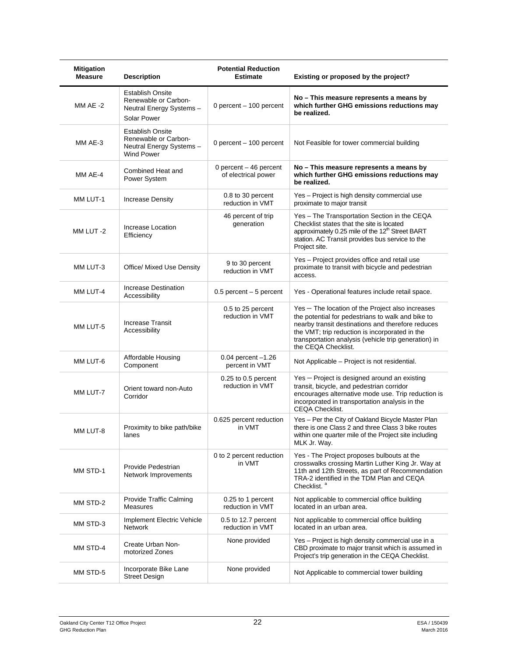| <b>Mitigation</b><br><b>Measure</b> | <b>Description</b>                                                                              | <b>Potential Reduction</b><br><b>Estimate</b> | Existing or proposed by the project?                                                                                                                                                                                                                                                        |
|-------------------------------------|-------------------------------------------------------------------------------------------------|-----------------------------------------------|---------------------------------------------------------------------------------------------------------------------------------------------------------------------------------------------------------------------------------------------------------------------------------------------|
| MM $AE -2$                          | <b>Establish Onsite</b><br>Renewable or Carbon-<br>Neutral Energy Systems -<br>Solar Power      | 0 percent - 100 percent                       | No – This measure represents a means by<br>which further GHG emissions reductions may<br>be realized.                                                                                                                                                                                       |
| MM AE-3                             | <b>Establish Onsite</b><br>Renewable or Carbon-<br>Neutral Energy Systems-<br><b>Wind Power</b> | 0 percent - 100 percent                       | Not Feasible for tower commercial building                                                                                                                                                                                                                                                  |
| MM AE-4                             | Combined Heat and<br>Power System                                                               | 0 percent - 46 percent<br>of electrical power | No - This measure represents a means by<br>which further GHG emissions reductions may<br>be realized.                                                                                                                                                                                       |
| MM LUT-1                            | <b>Increase Density</b>                                                                         | 0.8 to 30 percent<br>reduction in VMT         | Yes - Project is high density commercial use<br>proximate to major transit                                                                                                                                                                                                                  |
| MM LUT-2                            | Increase Location<br>Efficiency                                                                 | 46 percent of trip<br>generation              | Yes - The Transportation Section in the CEQA<br>Checklist states that the site is located<br>approximately 0.25 mile of the 12 <sup>th</sup> Street BART<br>station. AC Transit provides bus service to the<br>Project site.                                                                |
| MM LUT-3                            | Office/ Mixed Use Density                                                                       | 9 to 30 percent<br>reduction in VMT           | Yes - Project provides office and retail use<br>proximate to transit with bicycle and pedestrian<br>access.                                                                                                                                                                                 |
| MM LUT-4                            | Increase Destination<br>Accessibility                                                           | $0.5$ percent $-5$ percent                    | Yes - Operational features include retail space.                                                                                                                                                                                                                                            |
| MM LUT-5                            | <b>Increase Transit</b><br>Accessibility                                                        | 0.5 to 25 percent<br>reduction in VMT         | Yes - The location of the Project also increases<br>the potential for pedestrians to walk and bike to<br>nearby transit destinations and therefore reduces<br>the VMT; trip reduction is incorporated in the<br>transportation analysis (vehicle trip generation) in<br>the CEQA Checklist. |
| MM LUT-6                            | Affordable Housing<br>Component                                                                 | $0.04$ percent $-1.26$<br>percent in VMT      | Not Applicable – Project is not residential.                                                                                                                                                                                                                                                |
| MM LUT-7                            | Orient toward non-Auto<br>Corridor                                                              | 0.25 to 0.5 percent<br>reduction in VMT       | Yes - Project is designed around an existing<br>transit, bicycle, and pedestrian corridor<br>encourages alternative mode use. Trip reduction is<br>incorporated in transportation analysis in the<br><b>CEQA Checklist.</b>                                                                 |
| MM LUT-8                            | Proximity to bike path/bike<br>lanes                                                            | 0.625 percent reduction<br>in VMT             | Yes - Per the City of Oakland Bicycle Master Plan<br>there is one Class 2 and three Class 3 bike routes<br>within one quarter mile of the Project site including<br>MLK Jr. Way.                                                                                                            |
| MM STD-1                            | Provide Pedestrian<br>Network Improvements                                                      | 0 to 2 percent reduction<br>in VMT            | Yes - The Project proposes bulbouts at the<br>crosswalks crossing Martin Luther King Jr. Way at<br>11th and 12th Streets, as part of Recommendation<br>TRA-2 identified in the TDM Plan and CEQA<br>Checklist. <sup>a</sup>                                                                 |
| MM STD-2                            | <b>Provide Traffic Calming</b><br>Measures                                                      | 0.25 to 1 percent<br>reduction in VMT         | Not applicable to commercial office building<br>located in an urban area.                                                                                                                                                                                                                   |
| MM STD-3                            | Implement Electric Vehicle<br>Network                                                           | 0.5 to 12.7 percent<br>reduction in VMT       | Not applicable to commercial office building<br>located in an urban area.                                                                                                                                                                                                                   |
| MM STD-4                            | Create Urban Non-<br>motorized Zones                                                            | None provided                                 | Yes - Project is high density commercial use in a<br>CBD proximate to major transit which is assumed in<br>Project's trip generation in the CEQA Checklist.                                                                                                                                 |
| MM STD-5                            | Incorporate Bike Lane<br><b>Street Design</b>                                                   | None provided                                 | Not Applicable to commercial tower building                                                                                                                                                                                                                                                 |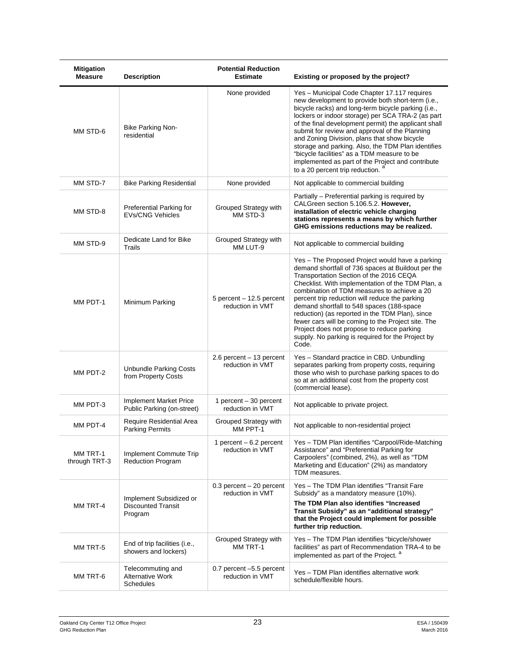| <b>Mitigation</b><br><b>Measure</b> | <b>Description</b>                                               | <b>Potential Reduction</b><br><b>Estimate</b>   | Existing or proposed by the project?                                                                                                                                                                                                                                                                                                                                                                                                                                                                                                                                     |
|-------------------------------------|------------------------------------------------------------------|-------------------------------------------------|--------------------------------------------------------------------------------------------------------------------------------------------------------------------------------------------------------------------------------------------------------------------------------------------------------------------------------------------------------------------------------------------------------------------------------------------------------------------------------------------------------------------------------------------------------------------------|
| MM STD-6                            | Bike Parking Non-<br>residential                                 | None provided                                   | Yes - Municipal Code Chapter 17.117 requires<br>new development to provide both short-term (i.e.,<br>bicycle racks) and long-term bicycle parking (i.e.,<br>lockers or indoor storage) per SCA TRA-2 (as part<br>of the final development permit) the applicant shall<br>submit for review and approval of the Planning<br>and Zoning Division, plans that show bicycle<br>storage and parking. Also, the TDM Plan identifies<br>"bicycle facilities" as a TDM measure to be<br>implemented as part of the Project and contribute<br>to a 20 percent trip reduction.     |
| MM STD-7                            | <b>Bike Parking Residential</b>                                  | None provided                                   | Not applicable to commercial building                                                                                                                                                                                                                                                                                                                                                                                                                                                                                                                                    |
| MM STD-8                            | Preferential Parking for<br><b>EVs/CNG Vehicles</b>              | Grouped Strategy with<br>MM STD-3               | Partially - Preferential parking is required by<br>CALGreen section 5.106.5.2. However,<br>installation of electric vehicle charging<br>stations represents a means by which further<br>GHG emissions reductions may be realized.                                                                                                                                                                                                                                                                                                                                        |
| MM STD-9                            | Dedicate Land for Bike<br>Trails                                 | Grouped Strategy with<br>MM LUT-9               | Not applicable to commercial building                                                                                                                                                                                                                                                                                                                                                                                                                                                                                                                                    |
| MM PDT-1                            | Minimum Parking                                                  | 5 percent - 12.5 percent<br>reduction in VMT    | Yes – The Proposed Project would have a parking<br>demand shortfall of 736 spaces at Buildout per the<br>Transportation Section of the 2016 CEQA<br>Checklist. With implementation of the TDM Plan, a<br>combination of TDM measures to achieve a 20<br>percent trip reduction will reduce the parking<br>demand shortfall to 548 spaces (188-space<br>reduction) (as reported in the TDM Plan), since<br>fewer cars will be coming to the Project site. The<br>Project does not propose to reduce parking<br>supply. No parking is required for the Project by<br>Code. |
| MM PDT-2                            | <b>Unbundle Parking Costs</b><br>from Property Costs             | $2.6$ percent $-13$ percent<br>reduction in VMT | Yes - Standard practice in CBD. Unbundling<br>separates parking from property costs, requiring<br>those who wish to purchase parking spaces to do<br>so at an additional cost from the property cost<br>(commercial lease).                                                                                                                                                                                                                                                                                                                                              |
| MM PDT-3                            | Implement Market Price<br>Public Parking (on-street)             | 1 percent – 30 percent<br>reduction in VMT      | Not applicable to private project.                                                                                                                                                                                                                                                                                                                                                                                                                                                                                                                                       |
| MM PDT-4                            | Require Residential Area<br><b>Parking Permits</b>               | Grouped Strategy with<br>MM PPT-1               | Not applicable to non-residential project                                                                                                                                                                                                                                                                                                                                                                                                                                                                                                                                |
| MM TRT-1<br>through TRT-3           | Implement Commute Trip<br>Reduction Program                      | 1 percent $-6.2$ percent<br>reduction in VMT    | Yes - TDM Plan identifies "Carpool/Ride-Matching<br>Assistance" and "Preferential Parking for<br>Carpoolers" (combined, 2%), as well as "TDM<br>Marketing and Education" (2%) as mandatory<br>TDM measures.                                                                                                                                                                                                                                                                                                                                                              |
| MM TRT-4                            | Implement Subsidized or<br><b>Discounted Transit</b><br>Program  | $0.3$ percent $-20$ percent<br>reduction in VMT | Yes - The TDM Plan identifies "Transit Fare<br>Subsidy" as a mandatory measure (10%).<br>The TDM Plan also identifies "Increased<br>Transit Subsidy" as an "additional strategy"<br>that the Project could implement for possible<br>further trip reduction.                                                                                                                                                                                                                                                                                                             |
| MM TRT-5                            | End of trip facilities (i.e.,<br>showers and lockers)            | Grouped Strategy with<br>MM TRT-1               | Yes - The TDM Plan identifies "bicycle/shower<br>facilities" as part of Recommendation TRA-4 to be<br>implemented as part of the Project. <sup>a</sup>                                                                                                                                                                                                                                                                                                                                                                                                                   |
| MM TRT-6                            | Telecommuting and<br><b>Alternative Work</b><br><b>Schedules</b> | 0.7 percent -5.5 percent<br>reduction in VMT    | Yes - TDM Plan identifies alternative work<br>schedule/flexible hours.                                                                                                                                                                                                                                                                                                                                                                                                                                                                                                   |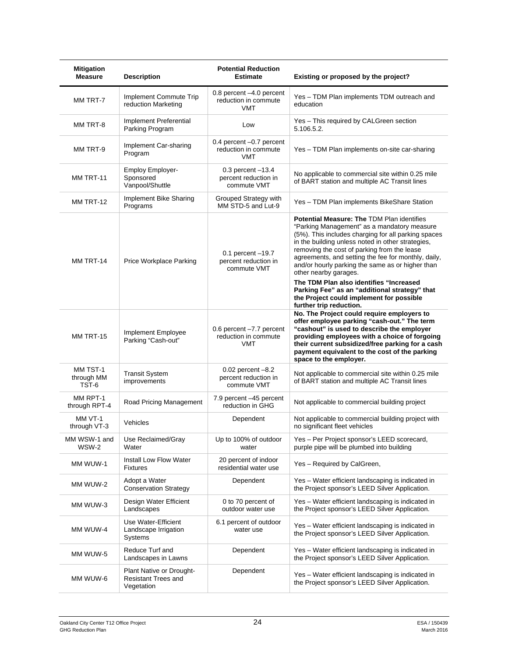| <b>Mitigation</b><br><b>Measure</b> | <b>Description</b>                                                          | <b>Potential Reduction</b><br><b>Estimate</b>                  | Existing or proposed by the project?                                                                                                                                                                                                                                                                                                                                                            |
|-------------------------------------|-----------------------------------------------------------------------------|----------------------------------------------------------------|-------------------------------------------------------------------------------------------------------------------------------------------------------------------------------------------------------------------------------------------------------------------------------------------------------------------------------------------------------------------------------------------------|
| MM TRT-7                            | Implement Commute Trip<br>reduction Marketing                               | 0.8 percent -4.0 percent<br>reduction in commute<br><b>VMT</b> | Yes – TDM Plan implements TDM outreach and<br>education                                                                                                                                                                                                                                                                                                                                         |
| MM TRT-8                            | Implement Preferential<br>Parking Program                                   | Low                                                            | Yes - This required by CALGreen section<br>5.106.5.2.                                                                                                                                                                                                                                                                                                                                           |
| MM TRT-9                            | Implement Car-sharing<br>Program                                            | 0.4 percent -0.7 percent<br>reduction in commute<br><b>VMT</b> | Yes - TDM Plan implements on-site car-sharing                                                                                                                                                                                                                                                                                                                                                   |
| MM TRT-11                           | <b>Employ Employer-</b><br>Sponsored<br>Vanpool/Shuttle                     | $0.3$ percent $-13.4$<br>percent reduction in<br>commute VMT   | No applicable to commercial site within 0.25 mile<br>of BART station and multiple AC Transit lines                                                                                                                                                                                                                                                                                              |
| MM TRT-12                           | Implement Bike Sharing<br>Programs                                          | Grouped Strategy with<br>MM STD-5 and Lut-9                    | Yes - TDM Plan implements BikeShare Station                                                                                                                                                                                                                                                                                                                                                     |
| MM TRT-14                           | Price Workplace Parking                                                     | $0.1$ percent $-19.7$<br>percent reduction in<br>commute VMT   | <b>Potential Measure: The TDM Plan identifies</b><br>"Parking Management" as a mandatory measure<br>(5%). This includes charging for all parking spaces<br>in the building unless noted in other strategies,<br>removing the cost of parking from the lease<br>agreements, and setting the fee for monthly, daily,<br>and/or hourly parking the same as or higher than<br>other nearby garages. |
|                                     |                                                                             |                                                                | The TDM Plan also identifies "Increased<br>Parking Fee" as an "additional strategy" that<br>the Project could implement for possible<br>further trip reduction.                                                                                                                                                                                                                                 |
| MM TRT-15                           | Implement Employee<br>Parking "Cash-out"                                    | 0.6 percent -7.7 percent<br>reduction in commute<br><b>VMT</b> | No. The Project could require employers to<br>offer employee parking "cash-out." The term<br>"cashout" is used to describe the employer<br>providing employees with a choice of forgoing<br>their current subsidized/free parking for a cash<br>payment equivalent to the cost of the parking<br>space to the employer.                                                                         |
| MM TST-1<br>through MM<br>TST-6     | <b>Transit System</b><br>improvements                                       | $0.02$ percent $-8.2$<br>percent reduction in<br>commute VMT   | Not applicable to commercial site within 0.25 mile<br>of BART station and multiple AC Transit lines                                                                                                                                                                                                                                                                                             |
| MM RPT-1<br>through RPT-4           | Road Pricing Management                                                     | 7.9 percent -45 percent<br>reduction in GHG                    | Not applicable to commercial building project                                                                                                                                                                                                                                                                                                                                                   |
| MM VT-1<br>through VT-3             | Vehicles                                                                    | Dependent                                                      | Not applicable to commercial building project with<br>no significant fleet vehicles                                                                                                                                                                                                                                                                                                             |
| MM WSW-1 and<br>WSW-2               | Use Reclaimed/Gray<br>Water                                                 | Up to 100% of outdoor<br>water                                 | Yes - Per Project sponsor's LEED scorecard,<br>purple pipe will be plumbed into building                                                                                                                                                                                                                                                                                                        |
| MM WUW-1                            | Install Low Flow Water<br><b>Fixtures</b>                                   | 20 percent of indoor<br>residential water use                  | Yes - Required by CalGreen,                                                                                                                                                                                                                                                                                                                                                                     |
| MM WUW-2                            | Adopt a Water<br><b>Conservation Strategy</b>                               | Dependent                                                      | Yes – Water efficient landscaping is indicated in<br>the Project sponsor's LEED Silver Application.                                                                                                                                                                                                                                                                                             |
| MM WUW-3                            | Design Water Efficient<br>Landscapes                                        | 0 to 70 percent of<br>outdoor water use                        | Yes - Water efficient landscaping is indicated in<br>the Project sponsor's LEED Silver Application.                                                                                                                                                                                                                                                                                             |
| MM WUW-4                            | Use Water-Efficient<br>Landscape Irrigation<br>Systems                      | 6.1 percent of outdoor<br>water use                            | Yes - Water efficient landscaping is indicated in<br>the Project sponsor's LEED Silver Application.                                                                                                                                                                                                                                                                                             |
| MM WUW-5                            | Reduce Turf and<br>Landscapes in Lawns                                      | Dependent                                                      | Yes - Water efficient landscaping is indicated in<br>the Project sponsor's LEED Silver Application.                                                                                                                                                                                                                                                                                             |
| MM WUW-6                            | <b>Plant Native or Drought-</b><br><b>Resistant Trees and</b><br>Vegetation | Dependent                                                      | Yes - Water efficient landscaping is indicated in<br>the Project sponsor's LEED Silver Application.                                                                                                                                                                                                                                                                                             |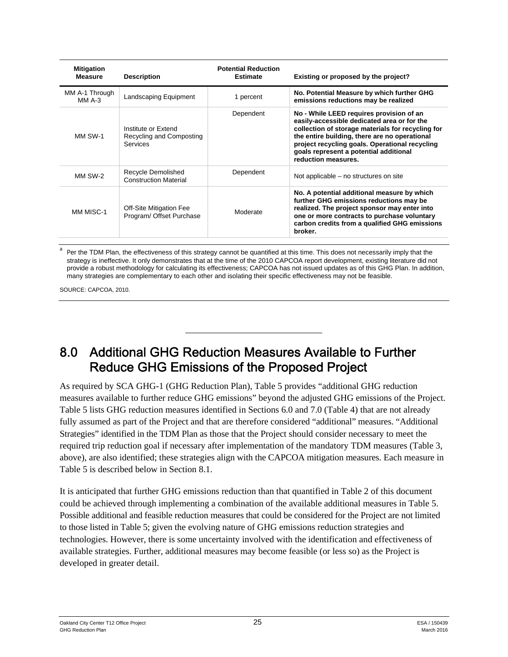| <b>Mitigation</b><br><b>Measure</b> | <b>Description</b>                                                 | <b>Potential Reduction</b><br><b>Estimate</b> | Existing or proposed by the project?                                                                                                                                                                                                                                                                             |
|-------------------------------------|--------------------------------------------------------------------|-----------------------------------------------|------------------------------------------------------------------------------------------------------------------------------------------------------------------------------------------------------------------------------------------------------------------------------------------------------------------|
| MM A-1 Through<br>MM $A-3$          | Landscaping Equipment                                              | 1 percent                                     | No. Potential Measure by which further GHG<br>emissions reductions may be realized                                                                                                                                                                                                                               |
| MM SW-1                             | Institute or Extend<br>Recycling and Composting<br><b>Services</b> | Dependent                                     | No - While LEED requires provision of an<br>easily-accessible dedicated area or for the<br>collection of storage materials for recycling for<br>the entire building, there are no operational<br>project recycling goals. Operational recycling<br>goals represent a potential additional<br>reduction measures. |
| MM SW-2                             | Recycle Demolished<br><b>Construction Material</b>                 | Dependent                                     | Not applicable – no structures on site                                                                                                                                                                                                                                                                           |
| MM MISC-1                           | Off-Site Mitigation Fee<br>Program/ Offset Purchase                | Moderate                                      | No. A potential additional measure by which<br>further GHG emissions reductions may be<br>realized. The project sponsor may enter into<br>one or more contracts to purchase voluntary<br>carbon credits from a qualified GHG emissions<br>broker.                                                                |

a Per the TDM Plan, the effectiveness of this strategy cannot be quantified at this time. This does not necessarily imply that the strategy is ineffective. It only demonstrates that at the time of the 2010 CAPCOA report development, existing literature did not provide a robust methodology for calculating its effectiveness; CAPCOA has not issued updates as of this GHG Plan. In addition, many strategies are complementary to each other and isolating their specific effectiveness may not be feasible.

\_\_\_\_\_\_\_\_\_\_\_\_\_\_\_\_\_\_\_\_\_\_\_\_\_\_\_\_\_\_

SOURCE: CAPCOA, 2010.

# 8.0 Additional GHG Reduction Measures Available to Further Reduce GHG Emissions of the Proposed Project

As required by SCA GHG-1 (GHG Reduction Plan), Table 5 provides "additional GHG reduction measures available to further reduce GHG emissions" beyond the adjusted GHG emissions of the Project. Table 5 lists GHG reduction measures identified in Sections 6.0 and 7.0 (Table 4) that are not already fully assumed as part of the Project and that are therefore considered "additional" measures. "Additional Strategies" identified in the TDM Plan as those that the Project should consider necessary to meet the required trip reduction goal if necessary after implementation of the mandatory TDM measures (Table 3, above), are also identified; these strategies align with the CAPCOA mitigation measures. Each measure in Table 5 is described below in Section 8.1.

It is anticipated that further GHG emissions reduction than that quantified in Table 2 of this document could be achieved through implementing a combination of the available additional measures in Table 5. Possible additional and feasible reduction measures that could be considered for the Project are not limited to those listed in Table 5; given the evolving nature of GHG emissions reduction strategies and technologies. However, there is some uncertainty involved with the identification and effectiveness of available strategies. Further, additional measures may become feasible (or less so) as the Project is developed in greater detail.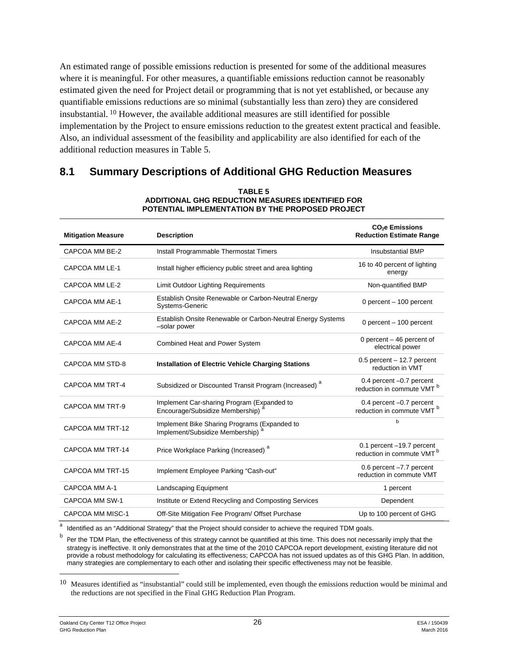An estimated range of possible emissions reduction is presented for some of the additional measures where it is meaningful. For other measures, a quantifiable emissions reduction cannot be reasonably estimated given the need for Project detail or programming that is not yet established, or because any quantifiable emissions reductions are so minimal (substantially less than zero) they are considered insubstantial. 10 However, the available additional measures are still identified for possible implementation by the Project to ensure emissions reduction to the greatest extent practical and feasible. Also, an individual assessment of the feasibility and applicability are also identified for each of the additional reduction measures in Table 5.

## **8.1 Summary Descriptions of Additional GHG Reduction Measures**

| <b>Mitigation Measure</b> | <b>Description</b>                                                                           | <b>CO<sub>2</sub>e Emissions</b><br><b>Reduction Estimate Range</b> |
|---------------------------|----------------------------------------------------------------------------------------------|---------------------------------------------------------------------|
| CAPCOA MM BE-2            | Install Programmable Thermostat Timers                                                       | <b>Insubstantial BMP</b>                                            |
| CAPCOA MM LE-1            | Install higher efficiency public street and area lighting                                    | 16 to 40 percent of lighting<br>energy                              |
| CAPCOA MM LE-2            | <b>Limit Outdoor Lighting Requirements</b>                                                   | Non-quantified BMP                                                  |
| CAPCOA MM AE-1            | Establish Onsite Renewable or Carbon-Neutral Energy<br>Systems-Generic                       | 0 percent $-$ 100 percent                                           |
| CAPCOA MM AE-2            | Establish Onsite Renewable or Carbon-Neutral Energy Systems<br>-solar power                  | 0 percent - 100 percent                                             |
| CAPCOA MM AE-4            | <b>Combined Heat and Power System</b>                                                        | 0 percent $-46$ percent of<br>electrical power                      |
| CAPCOA MM STD-8           | <b>Installation of Electric Vehicle Charging Stations</b>                                    | $0.5$ percent $-12.7$ percent<br>reduction in VMT                   |
| CAPCOA MM TRT-4           | Subsidized or Discounted Transit Program (Increased) <sup>a</sup>                            | 0.4 percent -0.7 percent<br>reduction in commute VMT <sup>b</sup>   |
| CAPCOA MM TRT-9           | Implement Car-sharing Program (Expanded to<br>Encourage/Subsidize Membership)                | 0.4 percent -0.7 percent<br>reduction in commute VMT <sup>b</sup>   |
| CAPCOA MM TRT-12          | Implement Bike Sharing Programs (Expanded to<br>Implement/Subsidize Membership) <sup>6</sup> | b                                                                   |
| CAPCOA MM TRT-14          | Price Workplace Parking (Increased) <sup>a</sup>                                             | 0.1 percent -19.7 percent<br>reduction in commute VMT <sup>b</sup>  |
| CAPCOA MM TRT-15          | Implement Employee Parking "Cash-out"                                                        | 0.6 percent -7.7 percent<br>reduction in commute VMT                |
| CAPCOA MM A-1             | Landscaping Equipment                                                                        | 1 percent                                                           |
| CAPCOA MM SW-1            | Institute or Extend Recycling and Composting Services                                        | Dependent                                                           |
| <b>CAPCOA MM MISC-1</b>   | Off-Site Mitigation Fee Program/ Offset Purchase                                             | Up to 100 percent of GHG                                            |

#### **TABLE 5 ADDITIONAL GHG REDUCTION MEASURES IDENTIFIED FOR POTENTIAL IMPLEMENTATION BY THE PROPOSED PROJECT**

<sup>a</sup> Identified as an "Additional Strategy" that the Project should consider to achieve the required TDM goals.

b Per the TDM Plan, the effectiveness of this strategy cannot be quantified at this time. This does not necessarily imply that the strategy is ineffective. It only demonstrates that at the time of the 2010 CAPCOA report development, existing literature did not provide a robust methodology for calculating its effectiveness; CAPCOA has not issued updates as of this GHG Plan. In addition, many strategies are complementary to each other and isolating their specific effectiveness may not be feasible.

 $10$  Measures identified as "insubstantial" could still be implemented, even though the emissions reduction would be minimal and the reductions are not specified in the Final GHG Reduction Plan Program.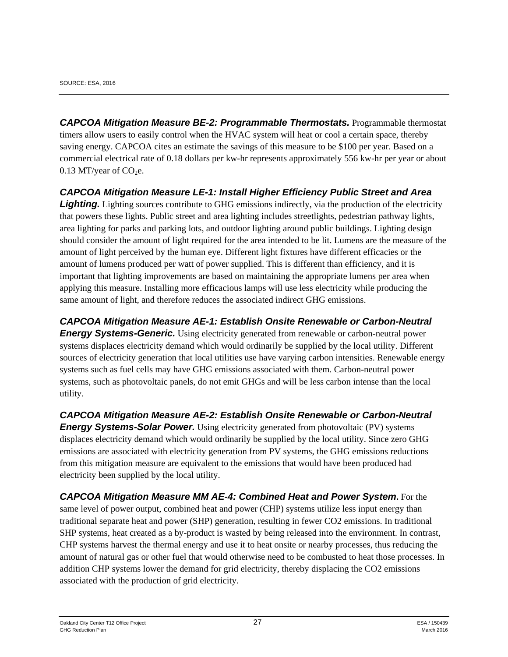*CAPCOA Mitigation Measure BE-2: Programmable Thermostats.* Programmable thermostat timers allow users to easily control when the HVAC system will heat or cool a certain space, thereby saving energy. CAPCOA cites an estimate the savings of this measure to be \$100 per year. Based on a commercial electrical rate of 0.18 dollars per kw-hr represents approximately 556 kw-hr per year or about 0.13 MT/year of  $CO<sub>2</sub>e$ .

#### *CAPCOA Mitigation Measure LE-1: Install Higher Efficiency Public Street and Area*

**Lighting.** Lighting sources contribute to GHG emissions indirectly, via the production of the electricity that powers these lights. Public street and area lighting includes streetlights, pedestrian pathway lights, area lighting for parks and parking lots, and outdoor lighting around public buildings. Lighting design should consider the amount of light required for the area intended to be lit. Lumens are the measure of the amount of light perceived by the human eye. Different light fixtures have different efficacies or the amount of lumens produced per watt of power supplied. This is different than efficiency, and it is important that lighting improvements are based on maintaining the appropriate lumens per area when applying this measure. Installing more efficacious lamps will use less electricity while producing the same amount of light, and therefore reduces the associated indirect GHG emissions.

*CAPCOA Mitigation Measure AE-1: Establish Onsite Renewable or Carbon-Neutral* 

*Energy Systems-Generic.* Using electricity generated from renewable or carbon-neutral power systems displaces electricity demand which would ordinarily be supplied by the local utility. Different sources of electricity generation that local utilities use have varying carbon intensities. Renewable energy systems such as fuel cells may have GHG emissions associated with them. Carbon-neutral power systems, such as photovoltaic panels, do not emit GHGs and will be less carbon intense than the local utility.

*CAPCOA Mitigation Measure AE-2: Establish Onsite Renewable or Carbon-Neutral Energy Systems-Solar Power.* Using electricity generated from photovoltaic (PV) systems displaces electricity demand which would ordinarily be supplied by the local utility. Since zero GHG emissions are associated with electricity generation from PV systems, the GHG emissions reductions from this mitigation measure are equivalent to the emissions that would have been produced had electricity been supplied by the local utility.

*CAPCOA Mitigation Measure MM AE-4: Combined Heat and Power System***.** For the same level of power output, combined heat and power (CHP) systems utilize less input energy than traditional separate heat and power (SHP) generation, resulting in fewer CO2 emissions. In traditional SHP systems, heat created as a by-product is wasted by being released into the environment. In contrast, CHP systems harvest the thermal energy and use it to heat onsite or nearby processes, thus reducing the amount of natural gas or other fuel that would otherwise need to be combusted to heat those processes. In addition CHP systems lower the demand for grid electricity, thereby displacing the CO2 emissions associated with the production of grid electricity.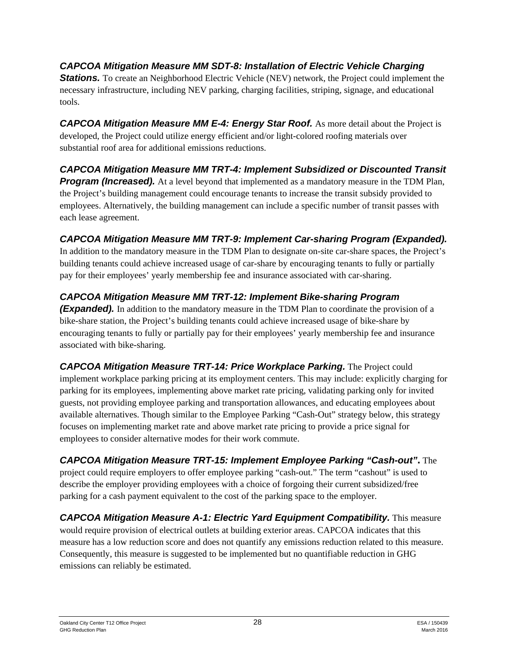*CAPCOA Mitigation Measure MM SDT-8: Installation of Electric Vehicle Charging*  **Stations.** To create an Neighborhood Electric Vehicle (NEV) network, the Project could implement the necessary infrastructure, including NEV parking, charging facilities, striping, signage, and educational tools.

CAPCOA Mitigation Measure MM E-4: Energy Star Roof. As more detail about the Project is developed, the Project could utilize energy efficient and/or light-colored roofing materials over substantial roof area for additional emissions reductions.

#### *CAPCOA Mitigation Measure MM TRT-4: Implement Subsidized or Discounted Transit Program (Increased).* At a level beyond that implemented as a mandatory measure in the TDM Plan, the Project's building management could encourage tenants to increase the transit subsidy provided to employees. Alternatively, the building management can include a specific number of transit passes with each lease agreement.

## *CAPCOA Mitigation Measure MM TRT-9: Implement Car-sharing Program (Expanded).*

In addition to the mandatory measure in the TDM Plan to designate on-site car-share spaces, the Project's building tenants could achieve increased usage of car-share by encouraging tenants to fully or partially pay for their employees' yearly membership fee and insurance associated with car-sharing.

## *CAPCOA Mitigation Measure MM TRT-12: Implement Bike-sharing Program*

*(Expanded).* In addition to the mandatory measure in the TDM Plan to coordinate the provision of a bike-share station, the Project's building tenants could achieve increased usage of bike-share by encouraging tenants to fully or partially pay for their employees' yearly membership fee and insurance associated with bike-sharing.

*CAPCOA Mitigation Measure TRT-14: Price Workplace Parking.* The Project could implement workplace parking pricing at its employment centers. This may include: explicitly charging for parking for its employees, implementing above market rate pricing, validating parking only for invited guests, not providing employee parking and transportation allowances, and educating employees about available alternatives. Though similar to the Employee Parking "Cash-Out" strategy below, this strategy focuses on implementing market rate and above market rate pricing to provide a price signal for employees to consider alternative modes for their work commute.

*CAPCOA Mitigation Measure TRT-15: Implement Employee Parking "Cash-out"***.** The project could require employers to offer employee parking "cash-out." The term "cashout" is used to describe the employer providing employees with a choice of forgoing their current subsidized/free parking for a cash payment equivalent to the cost of the parking space to the employer.

*CAPCOA Mitigation Measure A-1: Electric Yard Equipment Compatibility.* This measure would require provision of electrical outlets at building exterior areas. CAPCOA indicates that this measure has a low reduction score and does not quantify any emissions reduction related to this measure. Consequently, this measure is suggested to be implemented but no quantifiable reduction in GHG emissions can reliably be estimated.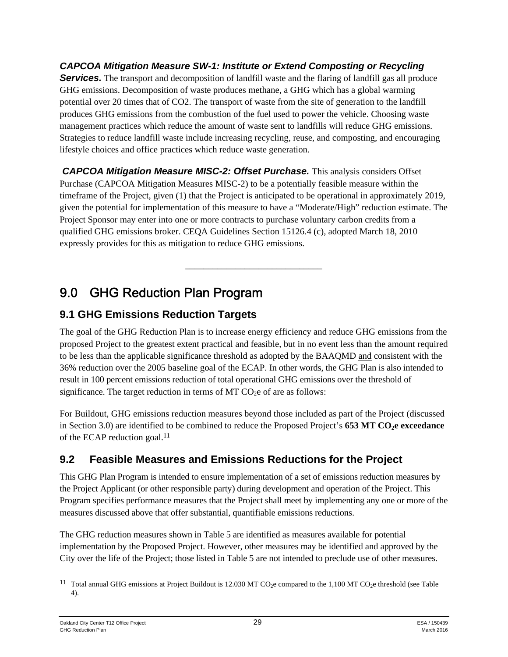*CAPCOA Mitigation Measure SW-1: Institute or Extend Composting or Recycling*  **Services.** The transport and decomposition of landfill waste and the flaring of landfill gas all produce GHG emissions. Decomposition of waste produces methane, a GHG which has a global warming potential over 20 times that of CO2. The transport of waste from the site of generation to the landfill produces GHG emissions from the combustion of the fuel used to power the vehicle. Choosing waste management practices which reduce the amount of waste sent to landfills will reduce GHG emissions. Strategies to reduce landfill waste include increasing recycling, reuse, and composting, and encouraging lifestyle choices and office practices which reduce waste generation.

 *CAPCOA Mitigation Measure MISC-2: Offset Purchase.* This analysis considers Offset Purchase (CAPCOA Mitigation Measures MISC-2) to be a potentially feasible measure within the timeframe of the Project, given (1) that the Project is anticipated to be operational in approximately 2019, given the potential for implementation of this measure to have a "Moderate/High" reduction estimate. The Project Sponsor may enter into one or more contracts to purchase voluntary carbon credits from a qualified GHG emissions broker. CEQA Guidelines Section 15126.4 (c), adopted March 18, 2010 expressly provides for this as mitigation to reduce GHG emissions.

\_\_\_\_\_\_\_\_\_\_\_\_\_\_\_\_\_\_\_\_\_\_\_\_\_\_\_\_\_\_

# 9.0 GHG Reduction Plan Program

# **9.1 GHG Emissions Reduction Targets**

The goal of the GHG Reduction Plan is to increase energy efficiency and reduce GHG emissions from the proposed Project to the greatest extent practical and feasible, but in no event less than the amount required to be less than the applicable significance threshold as adopted by the BAAQMD and consistent with the 36% reduction over the 2005 baseline goal of the ECAP. In other words, the GHG Plan is also intended to result in 100 percent emissions reduction of total operational GHG emissions over the threshold of significance. The target reduction in terms of  $MT CO<sub>2</sub>e$  of are as follows:

For Buildout, GHG emissions reduction measures beyond those included as part of the Project (discussed in Section 3.0) are identified to be combined to reduce the Proposed Project's **653 MT CO<sub>2</sub>e exceedance** of the ECAP reduction goal.<sup>11</sup>

# **9.2 Feasible Measures and Emissions Reductions for the Project**

This GHG Plan Program is intended to ensure implementation of a set of emissions reduction measures by the Project Applicant (or other responsible party) during development and operation of the Project. This Program specifies performance measures that the Project shall meet by implementing any one or more of the measures discussed above that offer substantial, quantifiable emissions reductions.

The GHG reduction measures shown in Table 5 are identified as measures available for potential implementation by the Proposed Project. However, other measures may be identified and approved by the City over the life of the Project; those listed in Table 5 are not intended to preclude use of other measures.

<sup>&</sup>lt;sup>11</sup> Total annual GHG emissions at Project Buildout is 12.030 MT CO<sub>2</sub>e compared to the 1,100 MT CO<sub>2</sub>e threshold (see Table 4).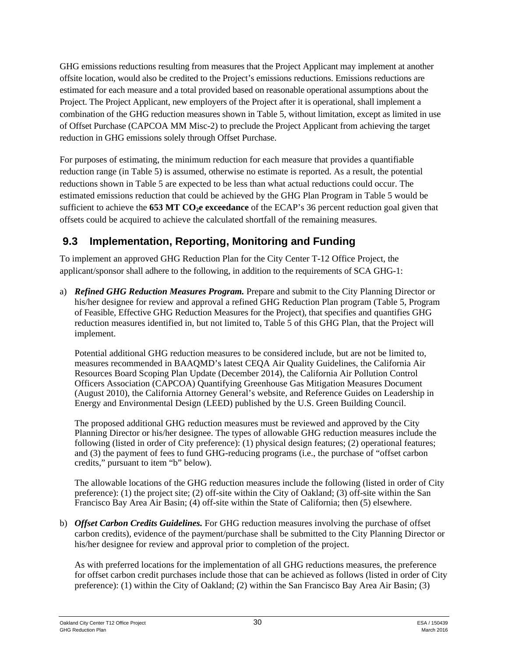GHG emissions reductions resulting from measures that the Project Applicant may implement at another offsite location, would also be credited to the Project's emissions reductions. Emissions reductions are estimated for each measure and a total provided based on reasonable operational assumptions about the Project. The Project Applicant, new employers of the Project after it is operational, shall implement a combination of the GHG reduction measures shown in Table 5, without limitation, except as limited in use of Offset Purchase (CAPCOA MM Misc-2) to preclude the Project Applicant from achieving the target reduction in GHG emissions solely through Offset Purchase.

For purposes of estimating, the minimum reduction for each measure that provides a quantifiable reduction range (in Table 5) is assumed, otherwise no estimate is reported. As a result, the potential reductions shown in Table 5 are expected to be less than what actual reductions could occur. The estimated emissions reduction that could be achieved by the GHG Plan Program in Table 5 would be sufficient to achieve the **653 MT CO<sub>2</sub>e exceedance** of the ECAP's 36 percent reduction goal given that offsets could be acquired to achieve the calculated shortfall of the remaining measures.

# **9.3 Implementation, Reporting, Monitoring and Funding**

To implement an approved GHG Reduction Plan for the City Center T-12 Office Project, the applicant/sponsor shall adhere to the following, in addition to the requirements of SCA GHG-1:

a) *Refined GHG Reduction Measures Program.* Prepare and submit to the City Planning Director or his/her designee for review and approval a refined GHG Reduction Plan program (Table 5, Program of Feasible, Effective GHG Reduction Measures for the Project), that specifies and quantifies GHG reduction measures identified in, but not limited to, Table 5 of this GHG Plan, that the Project will implement.

Potential additional GHG reduction measures to be considered include, but are not be limited to, measures recommended in BAAQMD's latest CEQA Air Quality Guidelines, the California Air Resources Board Scoping Plan Update (December 2014), the California Air Pollution Control Officers Association (CAPCOA) Quantifying Greenhouse Gas Mitigation Measures Document (August 2010), the California Attorney General's website, and Reference Guides on Leadership in Energy and Environmental Design (LEED) published by the U.S. Green Building Council.

The proposed additional GHG reduction measures must be reviewed and approved by the City Planning Director or his/her designee. The types of allowable GHG reduction measures include the following (listed in order of City preference): (1) physical design features; (2) operational features; and (3) the payment of fees to fund GHG-reducing programs (i.e., the purchase of "offset carbon credits," pursuant to item "b" below).

The allowable locations of the GHG reduction measures include the following (listed in order of City preference): (1) the project site; (2) off-site within the City of Oakland; (3) off-site within the San Francisco Bay Area Air Basin; (4) off-site within the State of California; then (5) elsewhere.

b) *Offset Carbon Credits Guidelines.* For GHG reduction measures involving the purchase of offset carbon credits), evidence of the payment/purchase shall be submitted to the City Planning Director or his/her designee for review and approval prior to completion of the project.

As with preferred locations for the implementation of all GHG reductions measures, the preference for offset carbon credit purchases include those that can be achieved as follows (listed in order of City preference): (1) within the City of Oakland; (2) within the San Francisco Bay Area Air Basin; (3)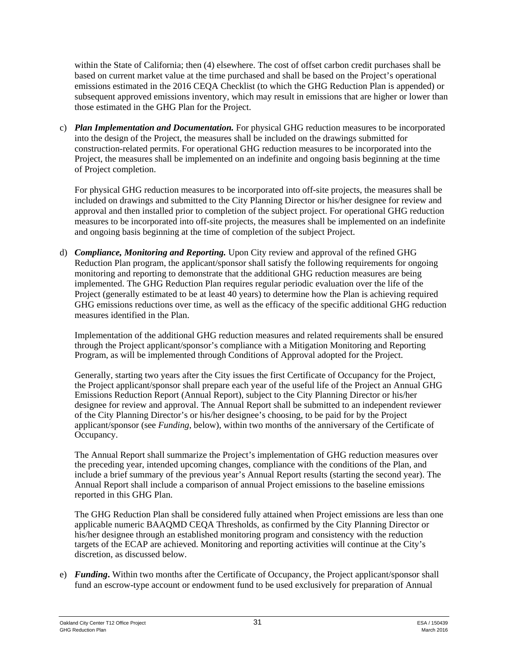within the State of California; then (4) elsewhere. The cost of offset carbon credit purchases shall be based on current market value at the time purchased and shall be based on the Project's operational emissions estimated in the 2016 CEQA Checklist (to which the GHG Reduction Plan is appended) or subsequent approved emissions inventory, which may result in emissions that are higher or lower than those estimated in the GHG Plan for the Project.

c) *Plan Implementation and Documentation.* For physical GHG reduction measures to be incorporated into the design of the Project, the measures shall be included on the drawings submitted for construction-related permits. For operational GHG reduction measures to be incorporated into the Project, the measures shall be implemented on an indefinite and ongoing basis beginning at the time of Project completion.

For physical GHG reduction measures to be incorporated into off-site projects, the measures shall be included on drawings and submitted to the City Planning Director or his/her designee for review and approval and then installed prior to completion of the subject project. For operational GHG reduction measures to be incorporated into off-site projects, the measures shall be implemented on an indefinite and ongoing basis beginning at the time of completion of the subject Project.

d) *Compliance, Monitoring and Reporting.* Upon City review and approval of the refined GHG Reduction Plan program, the applicant/sponsor shall satisfy the following requirements for ongoing monitoring and reporting to demonstrate that the additional GHG reduction measures are being implemented. The GHG Reduction Plan requires regular periodic evaluation over the life of the Project (generally estimated to be at least 40 years) to determine how the Plan is achieving required GHG emissions reductions over time, as well as the efficacy of the specific additional GHG reduction measures identified in the Plan.

Implementation of the additional GHG reduction measures and related requirements shall be ensured through the Project applicant/sponsor's compliance with a Mitigation Monitoring and Reporting Program, as will be implemented through Conditions of Approval adopted for the Project.

Generally, starting two years after the City issues the first Certificate of Occupancy for the Project, the Project applicant/sponsor shall prepare each year of the useful life of the Project an Annual GHG Emissions Reduction Report (Annual Report), subject to the City Planning Director or his/her designee for review and approval. The Annual Report shall be submitted to an independent reviewer of the City Planning Director's or his/her designee's choosing, to be paid for by the Project applicant/sponsor (see *Funding*, below), within two months of the anniversary of the Certificate of Occupancy.

The Annual Report shall summarize the Project's implementation of GHG reduction measures over the preceding year, intended upcoming changes, compliance with the conditions of the Plan, and include a brief summary of the previous year's Annual Report results (starting the second year). The Annual Report shall include a comparison of annual Project emissions to the baseline emissions reported in this GHG Plan.

The GHG Reduction Plan shall be considered fully attained when Project emissions are less than one applicable numeric BAAQMD CEQA Thresholds, as confirmed by the City Planning Director or his/her designee through an established monitoring program and consistency with the reduction targets of the ECAP are achieved. Monitoring and reporting activities will continue at the City's discretion, as discussed below.

e) *Funding***.** Within two months after the Certificate of Occupancy, the Project applicant/sponsor shall fund an escrow-type account or endowment fund to be used exclusively for preparation of Annual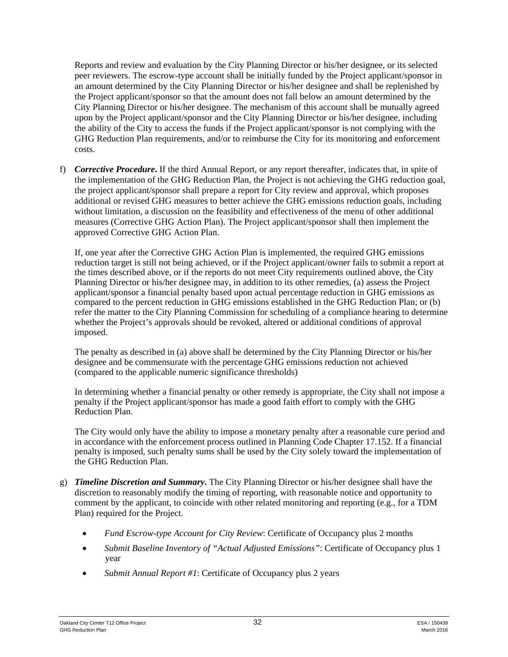Reports and review and evaluation by the City Planning Director or his/her designee, or its selected peer reviewers. The escrow-type account shall be initially funded by the Project applicant/sponsor in an amount determined by the City Planning Director or his/her designee and shall be replenished by the Project applicant/sponsor so that the amount does not fall below an amount determined by the City Planning Director or his/her designee. The mechanism of this account shall be mutually agreed upon by the Project applicant/sponsor and the City Planning Director or his/her designee, including the ability of the City to access the funds if the Project applicant/sponsor is not complying with the GHG Reduction Plan requirements, and/or to reimburse the City for its monitoring and enforcement costs.

f) *Corrective Procedure***.** If the third Annual Report, or any report thereafter, indicates that, in spite of the implementation of the GHG Reduction Plan, the Project is not achieving the GHG reduction goal, the project applicant/sponsor shall prepare a report for City review and approval, which proposes additional or revised GHG measures to better achieve the GHG emissions reduction goals, including without limitation, a discussion on the feasibility and effectiveness of the menu of other additional measures (Corrective GHG Action Plan). The Project applicant/sponsor shall then implement the approved Corrective GHG Action Plan.

If, one year after the Corrective GHG Action Plan is implemented, the required GHG emissions reduction target is still not being achieved, or if the Project applicant/owner fails to submit a report at the times described above, or if the reports do not meet City requirements outlined above, the City Planning Director or his/her designee may, in addition to its other remedies, (a) assess the Project applicant/sponsor a financial penalty based upon actual percentage reduction in GHG emissions as compared to the percent reduction in GHG emissions established in the GHG Reduction Plan; or (b) refer the matter to the City Planning Commission for scheduling of a compliance hearing to determine whether the Project's approvals should be revoked, altered or additional conditions of approval imposed.

The penalty as described in (a) above shall be determined by the City Planning Director or his/her designee and be commensurate with the percentage GHG emissions reduction not achieved (compared to the applicable numeric significance thresholds)

In determining whether a financial penalty or other remedy is appropriate, the City shall not impose a penalty if the Project applicant/sponsor has made a good faith effort to comply with the GHG Reduction Plan.

The City would only have the ability to impose a monetary penalty after a reasonable cure period and in accordance with the enforcement process outlined in Planning Code Chapter 17.152. If a financial penalty is imposed, such penalty sums shall be used by the City solely toward the implementation of the GHG Reduction Plan.

- g) *Timeline Discretion and Summary***.** The City Planning Director or his/her designee shall have the discretion to reasonably modify the timing of reporting, with reasonable notice and opportunity to comment by the applicant, to coincide with other related monitoring and reporting (e.g., for a TDM Plan) required for the Project.
	- *Fund Escrow-type Account for City Review*: Certificate of Occupancy plus 2 months
	- *Submit Baseline Inventory of "Actual Adjusted Emissions"*: Certificate of Occupancy plus 1 year
	- *Submit Annual Report #1*: Certificate of Occupancy plus 2 years